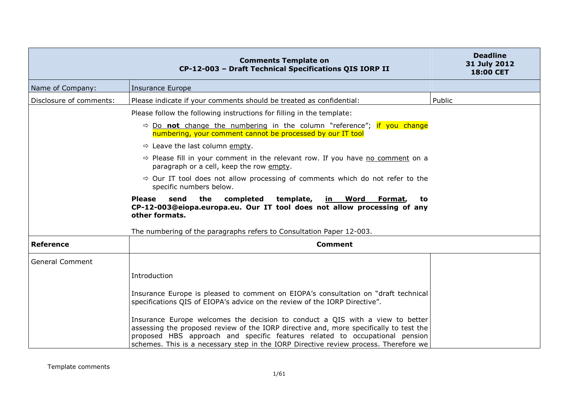|                         | <b>Comments Template on</b><br>CP-12-003 - Draft Technical Specifications QIS IORP II                                                                                                                                                                                                                                                          | <b>Deadline</b><br>31 July 2012<br>18:00 CET |
|-------------------------|------------------------------------------------------------------------------------------------------------------------------------------------------------------------------------------------------------------------------------------------------------------------------------------------------------------------------------------------|----------------------------------------------|
| Name of Company:        | <b>Insurance Europe</b>                                                                                                                                                                                                                                                                                                                        |                                              |
| Disclosure of comments: | Please indicate if your comments should be treated as confidential:                                                                                                                                                                                                                                                                            | Public                                       |
|                         | Please follow the following instructions for filling in the template:                                                                                                                                                                                                                                                                          |                                              |
|                         | $\Rightarrow$ Do <b>not</b> change the numbering in the column "reference"; if you change<br>numbering, your comment cannot be processed by our IT tool                                                                                                                                                                                        |                                              |
|                         | $\Rightarrow$ Leave the last column empty.                                                                                                                                                                                                                                                                                                     |                                              |
|                         | $\Rightarrow$ Please fill in your comment in the relevant row. If you have no comment on a<br>paragraph or a cell, keep the row empty.                                                                                                                                                                                                         |                                              |
|                         | $\Rightarrow$ Our IT tool does not allow processing of comments which do not refer to the<br>specific numbers below.                                                                                                                                                                                                                           |                                              |
|                         | send<br>the<br>completed<br>template, in Word Format,<br><b>Please</b><br>to<br>CP-12-003@eiopa.europa.eu. Our IT tool does not allow processing of any<br>other formats.                                                                                                                                                                      |                                              |
|                         | The numbering of the paragraphs refers to Consultation Paper 12-003.                                                                                                                                                                                                                                                                           |                                              |
| <b>Reference</b>        | <b>Comment</b>                                                                                                                                                                                                                                                                                                                                 |                                              |
| <b>General Comment</b>  |                                                                                                                                                                                                                                                                                                                                                |                                              |
|                         | Introduction                                                                                                                                                                                                                                                                                                                                   |                                              |
|                         | Insurance Europe is pleased to comment on EIOPA's consultation on "draft technical<br>specifications QIS of EIOPA's advice on the review of the IORP Directive".                                                                                                                                                                               |                                              |
|                         | Insurance Europe welcomes the decision to conduct a QIS with a view to better<br>assessing the proposed review of the IORP directive and, more specifically to test the<br>proposed HBS approach and specific features related to occupational pension<br>schemes. This is a necessary step in the IORP Directive review process. Therefore we |                                              |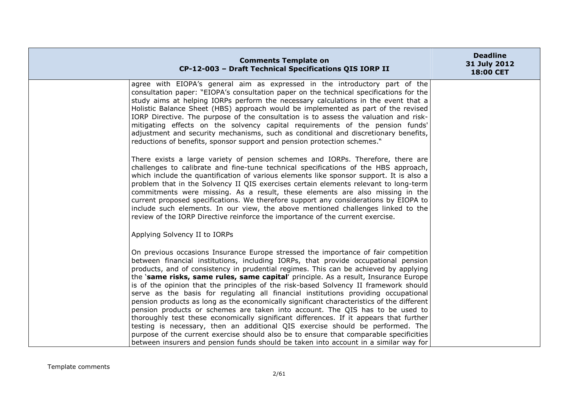| <b>Comments Template on</b><br>CP-12-003 - Draft Technical Specifications QIS IORP II                                                                                                                                                                                                                                                                                                                                                                                                                                                                                                                                                                                                                                                                                                                                                                                                                                                                                                                                                                                                     | <b>Deadline</b><br>31 July 2012<br>18:00 CET |
|-------------------------------------------------------------------------------------------------------------------------------------------------------------------------------------------------------------------------------------------------------------------------------------------------------------------------------------------------------------------------------------------------------------------------------------------------------------------------------------------------------------------------------------------------------------------------------------------------------------------------------------------------------------------------------------------------------------------------------------------------------------------------------------------------------------------------------------------------------------------------------------------------------------------------------------------------------------------------------------------------------------------------------------------------------------------------------------------|----------------------------------------------|
| agree with EIOPA's general aim as expressed in the introductory part of the<br>consultation paper: "EIOPA's consultation paper on the technical specifications for the<br>study aims at helping IORPs perform the necessary calculations in the event that a<br>Holistic Balance Sheet (HBS) approach would be implemented as part of the revised<br>IORP Directive. The purpose of the consultation is to assess the valuation and risk-<br>mitigating effects on the solvency capital requirements of the pension funds'<br>adjustment and security mechanisms, such as conditional and discretionary benefits,<br>reductions of benefits, sponsor support and pension protection schemes."                                                                                                                                                                                                                                                                                                                                                                                             |                                              |
| There exists a large variety of pension schemes and IORPs. Therefore, there are<br>challenges to calibrate and fine-tune technical specifications of the HBS approach,<br>which include the quantification of various elements like sponsor support. It is also a<br>problem that in the Solvency II QIS exercises certain elements relevant to long-term<br>commitments were missing. As a result, these elements are also missing in the<br>current proposed specifications. We therefore support any considerations by EIOPA to<br>include such elements. In our view, the above mentioned challenges linked to the<br>review of the IORP Directive reinforce the importance of the current exercise.                                                                                                                                                                                                                                                                                                                                                                                  |                                              |
| Applying Solvency II to IORPs                                                                                                                                                                                                                                                                                                                                                                                                                                                                                                                                                                                                                                                                                                                                                                                                                                                                                                                                                                                                                                                             |                                              |
| On previous occasions Insurance Europe stressed the importance of fair competition<br>between financial institutions, including IORPs, that provide occupational pension<br>products, and of consistency in prudential regimes. This can be achieved by applying<br>the <b>'same risks, same rules, same capital'</b> principle. As a result, Insurance Europe<br>is of the opinion that the principles of the risk-based Solvency II framework should<br>serve as the basis for regulating all financial institutions providing occupational<br>pension products as long as the economically significant characteristics of the different<br>pension products or schemes are taken into account. The QIS has to be used to<br>thoroughly test these economically significant differences. If it appears that further<br>testing is necessary, then an additional QIS exercise should be performed. The<br>purpose of the current exercise should also be to ensure that comparable specificities<br>between insurers and pension funds should be taken into account in a similar way for |                                              |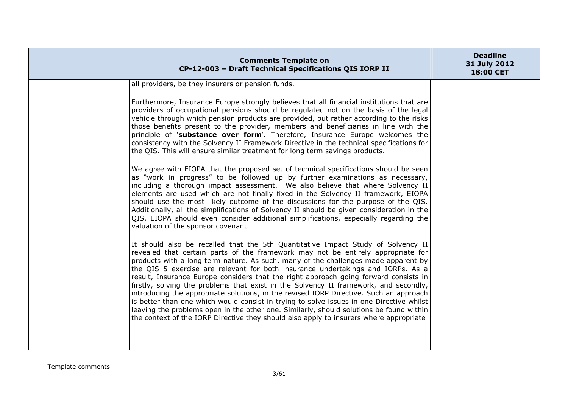| <b>Comments Template on</b><br>CP-12-003 - Draft Technical Specifications QIS IORP II                                                                                                                                                                                                                                                                                                                                                                                                                                                                                                                                                                                                                                                                                                                                                                                                                                                                                                                                                                                                                                                                                                                                                                                                                                                                                                                                                                                                                                                                                                                                                                                                                                                                                                                                                                                                                                                                                                                                                                                                                                                                                                                                                                        | <b>Deadline</b><br>31 July 2012<br>18:00 CET |
|--------------------------------------------------------------------------------------------------------------------------------------------------------------------------------------------------------------------------------------------------------------------------------------------------------------------------------------------------------------------------------------------------------------------------------------------------------------------------------------------------------------------------------------------------------------------------------------------------------------------------------------------------------------------------------------------------------------------------------------------------------------------------------------------------------------------------------------------------------------------------------------------------------------------------------------------------------------------------------------------------------------------------------------------------------------------------------------------------------------------------------------------------------------------------------------------------------------------------------------------------------------------------------------------------------------------------------------------------------------------------------------------------------------------------------------------------------------------------------------------------------------------------------------------------------------------------------------------------------------------------------------------------------------------------------------------------------------------------------------------------------------------------------------------------------------------------------------------------------------------------------------------------------------------------------------------------------------------------------------------------------------------------------------------------------------------------------------------------------------------------------------------------------------------------------------------------------------------------------------------------------------|----------------------------------------------|
| all providers, be they insurers or pension funds.<br>Furthermore, Insurance Europe strongly believes that all financial institutions that are<br>providers of occupational pensions should be regulated not on the basis of the legal<br>vehicle through which pension products are provided, but rather according to the risks<br>those benefits present to the provider, members and beneficiaries in line with the<br>principle of 'substance over form'. Therefore, Insurance Europe welcomes the<br>consistency with the Solvency II Framework Directive in the technical specifications for<br>the QIS. This will ensure similar treatment for long term savings products.<br>We agree with EIOPA that the proposed set of technical specifications should be seen<br>as "work in progress" to be followed up by further examinations as necessary,<br>including a thorough impact assessment. We also believe that where Solvency II<br>elements are used which are not finally fixed in the Solvency II framework, EIOPA<br>should use the most likely outcome of the discussions for the purpose of the QIS.<br>Additionally, all the simplifications of Solvency II should be given consideration in the<br>QIS. EIOPA should even consider additional simplifications, especially regarding the<br>valuation of the sponsor covenant.<br>It should also be recalled that the 5th Quantitative Impact Study of Solvency II<br>revealed that certain parts of the framework may not be entirely appropriate for<br>products with a long term nature. As such, many of the challenges made apparent by<br>the QIS 5 exercise are relevant for both insurance undertakings and IORPs. As a<br>result, Insurance Europe considers that the right approach going forward consists in<br>firstly, solving the problems that exist in the Solvency II framework, and secondly,<br>introducing the appropriate solutions, in the revised IORP Directive. Such an approach<br>is better than one which would consist in trying to solve issues in one Directive whilst<br>leaving the problems open in the other one. Similarly, should solutions be found within<br>the context of the IORP Directive they should also apply to insurers where appropriate |                                              |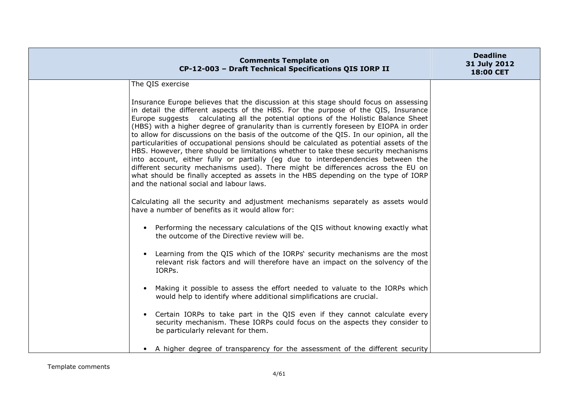| <b>Comments Template on</b><br>CP-12-003 - Draft Technical Specifications QIS IORP II                                                                                                                                                                                                                                                                                                                                                                                                                                                                                                                                                                                                                                                                                                                                                                                                                                                                | <b>Deadline</b><br>31 July 2012<br>18:00 CET |
|------------------------------------------------------------------------------------------------------------------------------------------------------------------------------------------------------------------------------------------------------------------------------------------------------------------------------------------------------------------------------------------------------------------------------------------------------------------------------------------------------------------------------------------------------------------------------------------------------------------------------------------------------------------------------------------------------------------------------------------------------------------------------------------------------------------------------------------------------------------------------------------------------------------------------------------------------|----------------------------------------------|
| The QIS exercise                                                                                                                                                                                                                                                                                                                                                                                                                                                                                                                                                                                                                                                                                                                                                                                                                                                                                                                                     |                                              |
| Insurance Europe believes that the discussion at this stage should focus on assessing<br>in detail the different aspects of the HBS. For the purpose of the QIS, Insurance<br>Europe suggests calculating all the potential options of the Holistic Balance Sheet<br>(HBS) with a higher degree of granularity than is currently foreseen by EIOPA in order<br>to allow for discussions on the basis of the outcome of the QIS. In our opinion, all the<br>particularities of occupational pensions should be calculated as potential assets of the<br>HBS. However, there should be limitations whether to take these security mechanisms<br>into account, either fully or partially (eg due to interdependencies between the<br>different security mechanisms used). There might be differences across the EU on<br>what should be finally accepted as assets in the HBS depending on the type of IORP<br>and the national social and labour laws. |                                              |
| Calculating all the security and adjustment mechanisms separately as assets would<br>have a number of benefits as it would allow for:                                                                                                                                                                                                                                                                                                                                                                                                                                                                                                                                                                                                                                                                                                                                                                                                                |                                              |
| • Performing the necessary calculations of the QIS without knowing exactly what<br>the outcome of the Directive review will be.                                                                                                                                                                                                                                                                                                                                                                                                                                                                                                                                                                                                                                                                                                                                                                                                                      |                                              |
| • Learning from the QIS which of the IORPs' security mechanisms are the most<br>relevant risk factors and will therefore have an impact on the solvency of the<br>IORPs.                                                                                                                                                                                                                                                                                                                                                                                                                                                                                                                                                                                                                                                                                                                                                                             |                                              |
| Making it possible to assess the effort needed to valuate to the IORPs which<br>would help to identify where additional simplifications are crucial.                                                                                                                                                                                                                                                                                                                                                                                                                                                                                                                                                                                                                                                                                                                                                                                                 |                                              |
| Certain IORPs to take part in the QIS even if they cannot calculate every<br>security mechanism. These IORPs could focus on the aspects they consider to<br>be particularly relevant for them.                                                                                                                                                                                                                                                                                                                                                                                                                                                                                                                                                                                                                                                                                                                                                       |                                              |
| • A higher degree of transparency for the assessment of the different security                                                                                                                                                                                                                                                                                                                                                                                                                                                                                                                                                                                                                                                                                                                                                                                                                                                                       |                                              |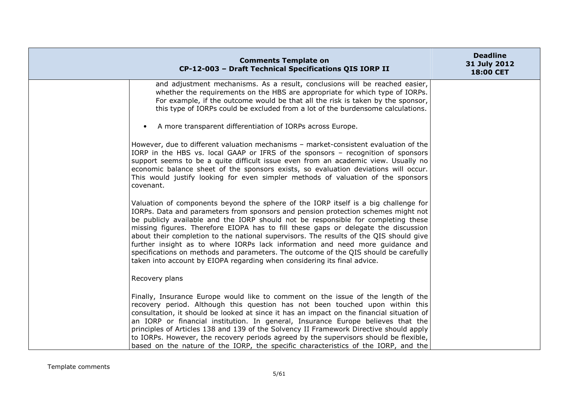| <b>Comments Template on</b><br>CP-12-003 - Draft Technical Specifications QIS IORP II                                                                                                                                                                                                                                                                                                                                                                                                                                                                                                                                                                                                              | <b>Deadline</b><br>31 July 2012<br>18:00 CET |
|----------------------------------------------------------------------------------------------------------------------------------------------------------------------------------------------------------------------------------------------------------------------------------------------------------------------------------------------------------------------------------------------------------------------------------------------------------------------------------------------------------------------------------------------------------------------------------------------------------------------------------------------------------------------------------------------------|----------------------------------------------|
| and adjustment mechanisms. As a result, conclusions will be reached easier,<br>whether the requirements on the HBS are appropriate for which type of IORPs.<br>For example, if the outcome would be that all the risk is taken by the sponsor,<br>this type of IORPs could be excluded from a lot of the burdensome calculations.                                                                                                                                                                                                                                                                                                                                                                  |                                              |
| A more transparent differentiation of IORPs across Europe.<br>$\bullet$                                                                                                                                                                                                                                                                                                                                                                                                                                                                                                                                                                                                                            |                                              |
| However, due to different valuation mechanisms - market-consistent evaluation of the<br>IORP in the HBS vs. local GAAP or IFRS of the sponsors - recognition of sponsors<br>support seems to be a quite difficult issue even from an academic view. Usually no<br>economic balance sheet of the sponsors exists, so evaluation deviations will occur.<br>This would justify looking for even simpler methods of valuation of the sponsors<br>covenant.                                                                                                                                                                                                                                             |                                              |
| Valuation of components beyond the sphere of the IORP itself is a big challenge for<br>IORPs. Data and parameters from sponsors and pension protection schemes might not<br>be publicly available and the IORP should not be responsible for completing these<br>missing figures. Therefore EIOPA has to fill these gaps or delegate the discussion<br>about their completion to the national supervisors. The results of the QIS should give<br>further insight as to where IORPs lack information and need more guidance and<br>specifications on methods and parameters. The outcome of the QIS should be carefully<br>taken into account by EIOPA regarding when considering its final advice. |                                              |
| Recovery plans                                                                                                                                                                                                                                                                                                                                                                                                                                                                                                                                                                                                                                                                                     |                                              |
| Finally, Insurance Europe would like to comment on the issue of the length of the<br>recovery period. Although this question has not been touched upon within this<br>consultation, it should be looked at since it has an impact on the financial situation of<br>an IORP or financial institution. In general, Insurance Europe believes that the<br>principles of Articles 138 and 139 of the Solvency II Framework Directive should apply<br>to IORPs. However, the recovery periods agreed by the supervisors should be flexible,<br>based on the nature of the IORP, the specific characteristics of the IORP, and the                                                                       |                                              |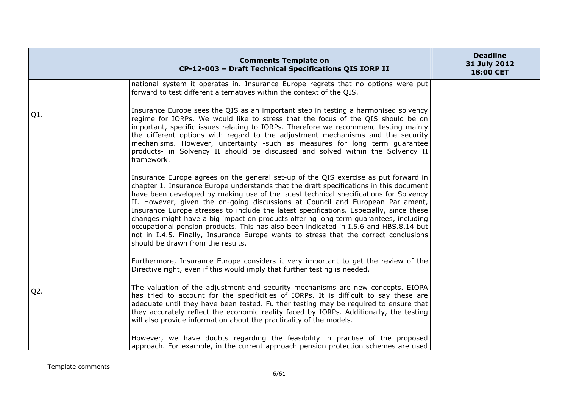|        | <b>Comments Template on</b><br>CP-12-003 - Draft Technical Specifications QIS IORP II                                                                                                                                                                                                                                                                                                                                                                                                                                                                                                                                                                                                                                                                              | <b>Deadline</b><br>31 July 2012<br>18:00 CET |
|--------|--------------------------------------------------------------------------------------------------------------------------------------------------------------------------------------------------------------------------------------------------------------------------------------------------------------------------------------------------------------------------------------------------------------------------------------------------------------------------------------------------------------------------------------------------------------------------------------------------------------------------------------------------------------------------------------------------------------------------------------------------------------------|----------------------------------------------|
|        | national system it operates in. Insurance Europe regrets that no options were put<br>forward to test different alternatives within the context of the QIS.                                                                                                                                                                                                                                                                                                                                                                                                                                                                                                                                                                                                         |                                              |
| Q1.    | Insurance Europe sees the QIS as an important step in testing a harmonised solvency<br>regime for IORPs. We would like to stress that the focus of the QIS should be on<br>important, specific issues relating to IORPs. Therefore we recommend testing mainly<br>the different options with regard to the adjustment mechanisms and the security<br>mechanisms. However, uncertainty -such as measures for long term guarantee<br>products- in Solvency II should be discussed and solved within the Solvency II<br>framework.                                                                                                                                                                                                                                    |                                              |
|        | Insurance Europe agrees on the general set-up of the QIS exercise as put forward in<br>chapter 1. Insurance Europe understands that the draft specifications in this document<br>have been developed by making use of the latest technical specifications for Solvency<br>II. However, given the on-going discussions at Council and European Parliament,<br>Insurance Europe stresses to include the latest specifications. Especially, since these<br>changes might have a big impact on products offering long term guarantees, including<br>occupational pension products. This has also been indicated in I.5.6 and HBS.8.14 but<br>not in I.4.5. Finally, Insurance Europe wants to stress that the correct conclusions<br>should be drawn from the results. |                                              |
|        | Furthermore, Insurance Europe considers it very important to get the review of the<br>Directive right, even if this would imply that further testing is needed.                                                                                                                                                                                                                                                                                                                                                                                                                                                                                                                                                                                                    |                                              |
| $Q2$ . | The valuation of the adjustment and security mechanisms are new concepts. EIOPA<br>has tried to account for the specificities of IORPs. It is difficult to say these are<br>adequate until they have been tested. Further testing may be required to ensure that<br>they accurately reflect the economic reality faced by IORPs. Additionally, the testing<br>will also provide information about the practicality of the models.                                                                                                                                                                                                                                                                                                                                  |                                              |
|        | However, we have doubts regarding the feasibility in practise of the proposed<br>approach. For example, in the current approach pension protection schemes are used                                                                                                                                                                                                                                                                                                                                                                                                                                                                                                                                                                                                |                                              |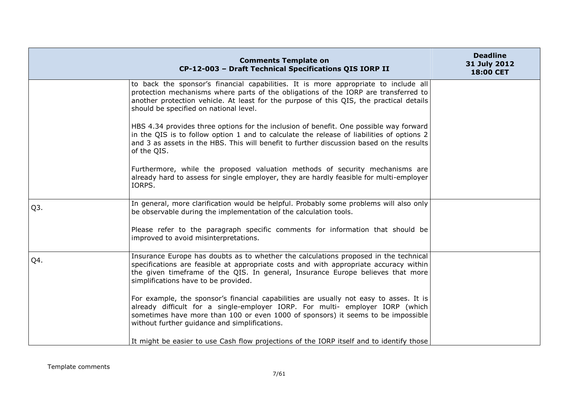|                  | <b>Comments Template on</b><br>CP-12-003 - Draft Technical Specifications QIS IORP II                                                                                                                                                                                                                           | <b>Deadline</b><br>31 July 2012<br>18:00 CET |
|------------------|-----------------------------------------------------------------------------------------------------------------------------------------------------------------------------------------------------------------------------------------------------------------------------------------------------------------|----------------------------------------------|
|                  | to back the sponsor's financial capabilities. It is more appropriate to include all<br>protection mechanisms where parts of the obligations of the IORP are transferred to<br>another protection vehicle. At least for the purpose of this QIS, the practical details<br>should be specified on national level. |                                              |
|                  | HBS 4.34 provides three options for the inclusion of benefit. One possible way forward<br>in the QIS is to follow option 1 and to calculate the release of liabilities of options 2<br>and 3 as assets in the HBS. This will benefit to further discussion based on the results<br>of the QIS.                  |                                              |
|                  | Furthermore, while the proposed valuation methods of security mechanisms are<br>already hard to assess for single employer, they are hardly feasible for multi-employer<br>IORPS.                                                                                                                               |                                              |
| Q <sub>3</sub> . | In general, more clarification would be helpful. Probably some problems will also only<br>be observable during the implementation of the calculation tools.                                                                                                                                                     |                                              |
|                  | Please refer to the paragraph specific comments for information that should be<br>improved to avoid misinterpretations.                                                                                                                                                                                         |                                              |
| Q4.              | Insurance Europe has doubts as to whether the calculations proposed in the technical<br>specifications are feasible at appropriate costs and with appropriate accuracy within<br>the given timeframe of the QIS. In general, Insurance Europe believes that more<br>simplifications have to be provided.        |                                              |
|                  | For example, the sponsor's financial capabilities are usually not easy to asses. It is<br>already difficult for a single-employer IORP. For multi- employer IORP (which<br>sometimes have more than 100 or even 1000 of sponsors) it seems to be impossible<br>without further guidance and simplifications.    |                                              |
|                  | It might be easier to use Cash flow projections of the IORP itself and to identify those                                                                                                                                                                                                                        |                                              |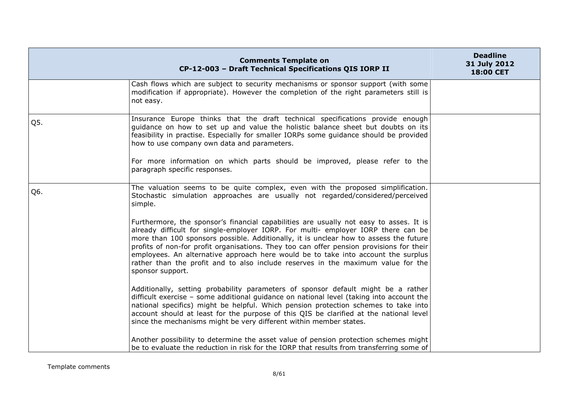|     | <b>Comments Template on</b><br>CP-12-003 - Draft Technical Specifications QIS IORP II                                                                                                                                                                                                                                                                                                                                                                                                                                                                         | <b>Deadline</b><br>31 July 2012<br>18:00 CET |
|-----|---------------------------------------------------------------------------------------------------------------------------------------------------------------------------------------------------------------------------------------------------------------------------------------------------------------------------------------------------------------------------------------------------------------------------------------------------------------------------------------------------------------------------------------------------------------|----------------------------------------------|
|     | Cash flows which are subject to security mechanisms or sponsor support (with some)<br>modification if appropriate). However the completion of the right parameters still is<br>not easy.                                                                                                                                                                                                                                                                                                                                                                      |                                              |
| Q5. | Insurance Europe thinks that the draft technical specifications provide enough<br>guidance on how to set up and value the holistic balance sheet but doubts on its<br>feasibility in practise. Especially for smaller IORPs some guidance should be provided<br>how to use company own data and parameters.                                                                                                                                                                                                                                                   |                                              |
|     | For more information on which parts should be improved, please refer to the<br>paragraph specific responses.                                                                                                                                                                                                                                                                                                                                                                                                                                                  |                                              |
| Q6. | The valuation seems to be quite complex, even with the proposed simplification.<br>Stochastic simulation approaches are usually not regarded/considered/perceived<br>simple.                                                                                                                                                                                                                                                                                                                                                                                  |                                              |
|     | Furthermore, the sponsor's financial capabilities are usually not easy to asses. It is<br>already difficult for single-employer IORP. For multi- employer IORP there can be<br>more than 100 sponsors possible. Additionally, it is unclear how to assess the future<br>profits of non-for profit organisations. They too can offer pension provisions for their<br>employees. An alternative approach here would be to take into account the surplus<br>rather than the profit and to also include reserves in the maximum value for the<br>sponsor support. |                                              |
|     | Additionally, setting probability parameters of sponsor default might be a rather<br>difficult exercise - some additional guidance on national level (taking into account the<br>national specifics) might be helpful. Which pension protection schemes to take into<br>account should at least for the purpose of this QIS be clarified at the national level<br>since the mechanisms might be very different within member states.                                                                                                                          |                                              |
|     | Another possibility to determine the asset value of pension protection schemes might<br>be to evaluate the reduction in risk for the IORP that results from transferring some of                                                                                                                                                                                                                                                                                                                                                                              |                                              |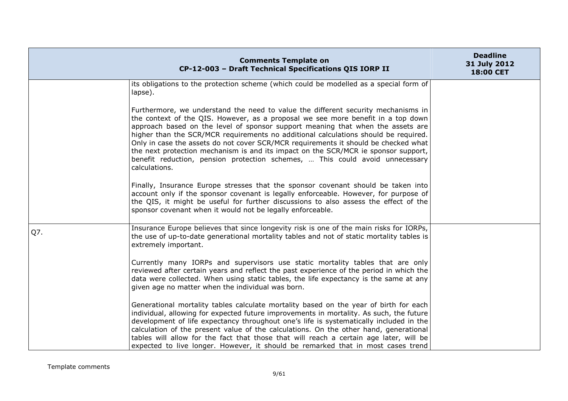|     | <b>Comments Template on</b><br>CP-12-003 - Draft Technical Specifications QIS IORP II                                                                                                                                                                                                                                                                                                                                                                                                                                                                                                                                         | <b>Deadline</b><br>31 July 2012<br>18:00 CET |
|-----|-------------------------------------------------------------------------------------------------------------------------------------------------------------------------------------------------------------------------------------------------------------------------------------------------------------------------------------------------------------------------------------------------------------------------------------------------------------------------------------------------------------------------------------------------------------------------------------------------------------------------------|----------------------------------------------|
|     | its obligations to the protection scheme (which could be modelled as a special form of<br>lapse).                                                                                                                                                                                                                                                                                                                                                                                                                                                                                                                             |                                              |
|     | Furthermore, we understand the need to value the different security mechanisms in<br>the context of the QIS. However, as a proposal we see more benefit in a top down<br>approach based on the level of sponsor support meaning that when the assets are<br>higher than the SCR/MCR requirements no additional calculations should be required.<br>Only in case the assets do not cover SCR/MCR requirements it should be checked what<br>the next protection mechanism is and its impact on the SCR/MCR ie sponsor support,<br>benefit reduction, pension protection schemes,  This could avoid unnecessary<br>calculations. |                                              |
|     | Finally, Insurance Europe stresses that the sponsor covenant should be taken into<br>account only if the sponsor covenant is legally enforceable. However, for purpose of<br>the QIS, it might be useful for further discussions to also assess the effect of the<br>sponsor covenant when it would not be legally enforceable.                                                                                                                                                                                                                                                                                               |                                              |
| Q7. | Insurance Europe believes that since longevity risk is one of the main risks for IORPs,<br>the use of up-to-date generational mortality tables and not of static mortality tables is<br>extremely important.                                                                                                                                                                                                                                                                                                                                                                                                                  |                                              |
|     | Currently many IORPs and supervisors use static mortality tables that are only<br>reviewed after certain years and reflect the past experience of the period in which the<br>data were collected. When using static tables, the life expectancy is the same at any<br>given age no matter when the individual was born.                                                                                                                                                                                                                                                                                                       |                                              |
|     | Generational mortality tables calculate mortality based on the year of birth for each<br>individual, allowing for expected future improvements in mortality. As such, the future<br>development of life expectancy throughout one's life is systematically included in the<br>calculation of the present value of the calculations. On the other hand, generational<br>tables will allow for the fact that those that will reach a certain age later, will be<br>expected to live longer. However, it should be remarked that in most cases trend                                                                             |                                              |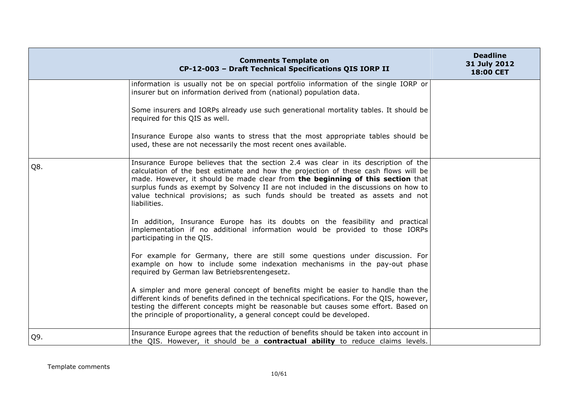|     | <b>Comments Template on</b><br>CP-12-003 - Draft Technical Specifications QIS IORP II                                                                                                                                                                                                                                                                                                                                                                | <b>Deadline</b><br>31 July 2012<br>18:00 CET |
|-----|------------------------------------------------------------------------------------------------------------------------------------------------------------------------------------------------------------------------------------------------------------------------------------------------------------------------------------------------------------------------------------------------------------------------------------------------------|----------------------------------------------|
|     | information is usually not be on special portfolio information of the single IORP or<br>insurer but on information derived from (national) population data.                                                                                                                                                                                                                                                                                          |                                              |
|     | Some insurers and IORPs already use such generational mortality tables. It should be<br>required for this QIS as well.                                                                                                                                                                                                                                                                                                                               |                                              |
|     | Insurance Europe also wants to stress that the most appropriate tables should be<br>used, these are not necessarily the most recent ones available.                                                                                                                                                                                                                                                                                                  |                                              |
| Q8. | Insurance Europe believes that the section 2.4 was clear in its description of the<br>calculation of the best estimate and how the projection of these cash flows will be<br>made. However, it should be made clear from the beginning of this section that<br>surplus funds as exempt by Solvency II are not included in the discussions on how to<br>value technical provisions; as such funds should be treated as assets and not<br>liabilities. |                                              |
|     | In addition, Insurance Europe has its doubts on the feasibility and practical<br>implementation if no additional information would be provided to those IORPs<br>participating in the QIS.                                                                                                                                                                                                                                                           |                                              |
|     | For example for Germany, there are still some questions under discussion. For<br>example on how to include some indexation mechanisms in the pay-out phase<br>required by German law Betriebsrentengesetz.                                                                                                                                                                                                                                           |                                              |
|     | A simpler and more general concept of benefits might be easier to handle than the<br>different kinds of benefits defined in the technical specifications. For the QIS, however,<br>testing the different concepts might be reasonable but causes some effort. Based on<br>the principle of proportionality, a general concept could be developed.                                                                                                    |                                              |
| Q9. | Insurance Europe agrees that the reduction of benefits should be taken into account in<br>the QIS. However, it should be a contractual ability to reduce claims levels.                                                                                                                                                                                                                                                                              |                                              |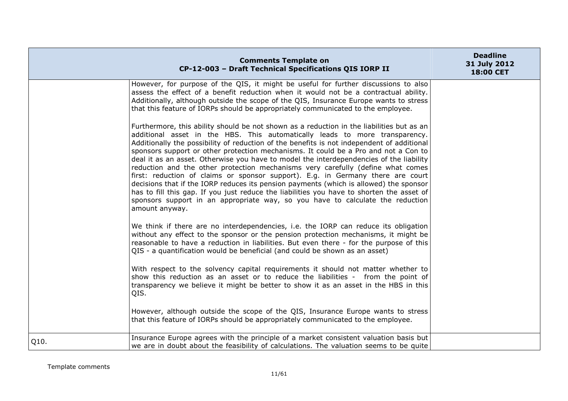|      | <b>Comments Template on</b><br>CP-12-003 - Draft Technical Specifications QIS IORP II                                                                                                                                                                                                                                                                                                                                                                                                                                                                                                                                                                                                                                                                                                                                                                                                                                     | <b>Deadline</b><br>31 July 2012<br>18:00 CET |
|------|---------------------------------------------------------------------------------------------------------------------------------------------------------------------------------------------------------------------------------------------------------------------------------------------------------------------------------------------------------------------------------------------------------------------------------------------------------------------------------------------------------------------------------------------------------------------------------------------------------------------------------------------------------------------------------------------------------------------------------------------------------------------------------------------------------------------------------------------------------------------------------------------------------------------------|----------------------------------------------|
|      | However, for purpose of the QIS, it might be useful for further discussions to also<br>assess the effect of a benefit reduction when it would not be a contractual ability.<br>Additionally, although outside the scope of the QIS, Insurance Europe wants to stress<br>that this feature of IORPs should be appropriately communicated to the employee.                                                                                                                                                                                                                                                                                                                                                                                                                                                                                                                                                                  |                                              |
|      | Furthermore, this ability should be not shown as a reduction in the liabilities but as an<br>additional asset in the HBS. This automatically leads to more transparency.<br>Additionally the possibility of reduction of the benefits is not independent of additional<br>sponsors support or other protection mechanisms. It could be a Pro and not a Con to<br>deal it as an asset. Otherwise you have to model the interdependencies of the liability<br>reduction and the other protection mechanisms very carefully (define what comes<br>first: reduction of claims or sponsor support). E.g. in Germany there are court<br>decisions that if the IORP reduces its pension payments (which is allowed) the sponsor<br>has to fill this gap. If you just reduce the liabilities you have to shorten the asset of<br>sponsors support in an appropriate way, so you have to calculate the reduction<br>amount anyway. |                                              |
|      | We think if there are no interdependencies, i.e. the IORP can reduce its obligation<br>without any effect to the sponsor or the pension protection mechanisms, it might be<br>reasonable to have a reduction in liabilities. But even there - for the purpose of this<br>QIS - a quantification would be beneficial (and could be shown as an asset)                                                                                                                                                                                                                                                                                                                                                                                                                                                                                                                                                                      |                                              |
|      | With respect to the solvency capital requirements it should not matter whether to<br>show this reduction as an asset or to reduce the liabilities - from the point of<br>transparency we believe it might be better to show it as an asset in the HBS in this<br>QIS.                                                                                                                                                                                                                                                                                                                                                                                                                                                                                                                                                                                                                                                     |                                              |
|      | However, although outside the scope of the QIS, Insurance Europe wants to stress<br>that this feature of IORPs should be appropriately communicated to the employee.                                                                                                                                                                                                                                                                                                                                                                                                                                                                                                                                                                                                                                                                                                                                                      |                                              |
| Q10. | Insurance Europe agrees with the principle of a market consistent valuation basis but<br>we are in doubt about the feasibility of calculations. The valuation seems to be quite                                                                                                                                                                                                                                                                                                                                                                                                                                                                                                                                                                                                                                                                                                                                           |                                              |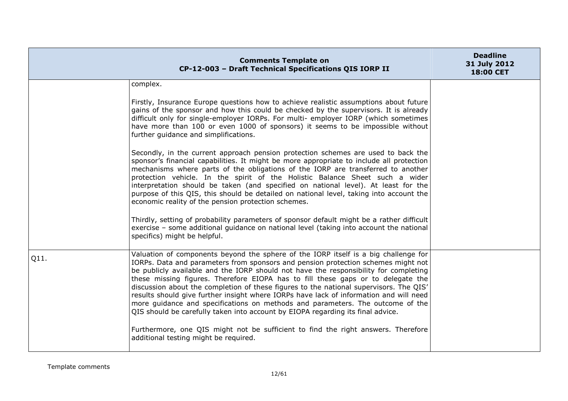|      | <b>Comments Template on</b><br>CP-12-003 - Draft Technical Specifications QIS IORP II                                                                                                                                                                                                                                                                                                                                                                                                                                                                                                                                                                                                                                                                                                                                                       | <b>Deadline</b><br>31 July 2012<br>18:00 CET |
|------|---------------------------------------------------------------------------------------------------------------------------------------------------------------------------------------------------------------------------------------------------------------------------------------------------------------------------------------------------------------------------------------------------------------------------------------------------------------------------------------------------------------------------------------------------------------------------------------------------------------------------------------------------------------------------------------------------------------------------------------------------------------------------------------------------------------------------------------------|----------------------------------------------|
|      | complex.                                                                                                                                                                                                                                                                                                                                                                                                                                                                                                                                                                                                                                                                                                                                                                                                                                    |                                              |
|      | Firstly, Insurance Europe questions how to achieve realistic assumptions about future<br>gains of the sponsor and how this could be checked by the supervisors. It is already<br>difficult only for single-employer IORPs. For multi- employer IORP (which sometimes<br>have more than 100 or even 1000 of sponsors) it seems to be impossible without<br>further guidance and simplifications.                                                                                                                                                                                                                                                                                                                                                                                                                                             |                                              |
|      | Secondly, in the current approach pension protection schemes are used to back the<br>sponsor's financial capabilities. It might be more appropriate to include all protection<br>mechanisms where parts of the obligations of the IORP are transferred to another<br>protection vehicle. In the spirit of the Holistic Balance Sheet such a wider<br>interpretation should be taken (and specified on national level). At least for the<br>purpose of this QIS, this should be detailed on national level, taking into account the<br>economic reality of the pension protection schemes.<br>Thirdly, setting of probability parameters of sponsor default might be a rather difficult<br>exercise - some additional guidance on national level (taking into account the national                                                           |                                              |
|      | specifics) might be helpful.                                                                                                                                                                                                                                                                                                                                                                                                                                                                                                                                                                                                                                                                                                                                                                                                                |                                              |
| Q11. | Valuation of components beyond the sphere of the IORP itself is a big challenge for<br>IORPs. Data and parameters from sponsors and pension protection schemes might not<br>be publicly available and the IORP should not have the responsibility for completing<br>these missing figures. Therefore EIOPA has to fill these gaps or to delegate the<br>discussion about the completion of these figures to the national supervisors. The QIS'<br>results should give further insight where IORPs have lack of information and will need<br>more guidance and specifications on methods and parameters. The outcome of the<br>QIS should be carefully taken into account by EIOPA regarding its final advice.<br>Furthermore, one QIS might not be sufficient to find the right answers. Therefore<br>additional testing might be required. |                                              |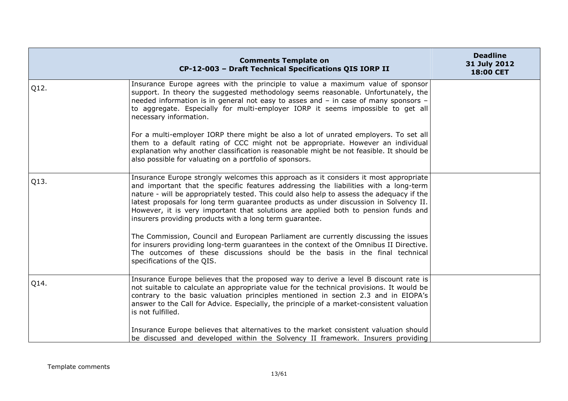|      | <b>Comments Template on</b><br>CP-12-003 - Draft Technical Specifications QIS IORP II                                                                                                                                                                                                                                                                                                                                                                                                                               | <b>Deadline</b><br>31 July 2012<br>18:00 CET |
|------|---------------------------------------------------------------------------------------------------------------------------------------------------------------------------------------------------------------------------------------------------------------------------------------------------------------------------------------------------------------------------------------------------------------------------------------------------------------------------------------------------------------------|----------------------------------------------|
| Q12. | Insurance Europe agrees with the principle to value a maximum value of sponsor<br>support. In theory the suggested methodology seems reasonable. Unfortunately, the<br>needed information is in general not easy to asses and - in case of many sponsors -<br>to aggregate. Especially for multi-employer IORP it seems impossible to get all<br>necessary information.                                                                                                                                             |                                              |
|      | For a multi-employer IORP there might be also a lot of unrated employers. To set all<br>them to a default rating of CCC might not be appropriate. However an individual<br>explanation why another classification is reasonable might be not feasible. It should be<br>also possible for valuating on a portfolio of sponsors.                                                                                                                                                                                      |                                              |
| Q13. | Insurance Europe strongly welcomes this approach as it considers it most appropriate<br>and important that the specific features addressing the liabilities with a long-term<br>nature - will be appropriately tested. This could also help to assess the adequacy if the<br>latest proposals for long term quarantee products as under discussion in Solvency II.<br>However, it is very important that solutions are applied both to pension funds and<br>insurers providing products with a long term guarantee. |                                              |
|      | The Commission, Council and European Parliament are currently discussing the issues<br>for insurers providing long-term quarantees in the context of the Omnibus II Directive.<br>The outcomes of these discussions should be the basis in the final technical<br>specifications of the QIS.                                                                                                                                                                                                                        |                                              |
| Q14. | Insurance Europe believes that the proposed way to derive a level B discount rate is<br>not suitable to calculate an appropriate value for the technical provisions. It would be<br>contrary to the basic valuation principles mentioned in section 2.3 and in EIOPA's<br>answer to the Call for Advice. Especially, the principle of a market-consistent valuation<br>is not fulfilled.                                                                                                                            |                                              |
|      | Insurance Europe believes that alternatives to the market consistent valuation should<br>be discussed and developed within the Solvency II framework. Insurers providing                                                                                                                                                                                                                                                                                                                                            |                                              |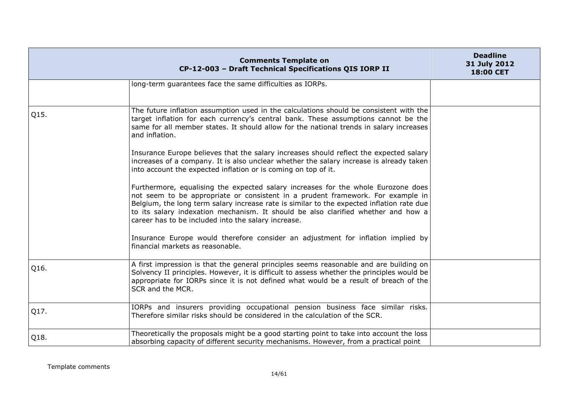|      | <b>Comments Template on</b><br>CP-12-003 - Draft Technical Specifications QIS IORP II                                                                                                                                                                                                                                                                                                                         | <b>Deadline</b><br>31 July 2012<br>18:00 CET |
|------|---------------------------------------------------------------------------------------------------------------------------------------------------------------------------------------------------------------------------------------------------------------------------------------------------------------------------------------------------------------------------------------------------------------|----------------------------------------------|
|      | long-term guarantees face the same difficulties as IORPs.                                                                                                                                                                                                                                                                                                                                                     |                                              |
| Q15. | The future inflation assumption used in the calculations should be consistent with the<br>target inflation for each currency's central bank. These assumptions cannot be the<br>same for all member states. It should allow for the national trends in salary increases<br>and inflation.                                                                                                                     |                                              |
|      | Insurance Europe believes that the salary increases should reflect the expected salary<br>increases of a company. It is also unclear whether the salary increase is already taken<br>into account the expected inflation or is coming on top of it.                                                                                                                                                           |                                              |
|      | Furthermore, equalising the expected salary increases for the whole Eurozone does<br>not seem to be appropriate or consistent in a prudent framework. For example in<br>Belgium, the long term salary increase rate is similar to the expected inflation rate due<br>to its salary indexation mechanism. It should be also clarified whether and how a<br>career has to be included into the salary increase. |                                              |
|      | Insurance Europe would therefore consider an adjustment for inflation implied by<br>financial markets as reasonable.                                                                                                                                                                                                                                                                                          |                                              |
| Q16. | A first impression is that the general principles seems reasonable and are building on<br>Solvency II principles. However, it is difficult to assess whether the principles would be<br>appropriate for IORPs since it is not defined what would be a result of breach of the<br>SCR and the MCR.                                                                                                             |                                              |
| Q17. | IORPs and insurers providing occupational pension business face similar risks.<br>Therefore similar risks should be considered in the calculation of the SCR.                                                                                                                                                                                                                                                 |                                              |
| Q18. | Theoretically the proposals might be a good starting point to take into account the loss<br>absorbing capacity of different security mechanisms. However, from a practical point                                                                                                                                                                                                                              |                                              |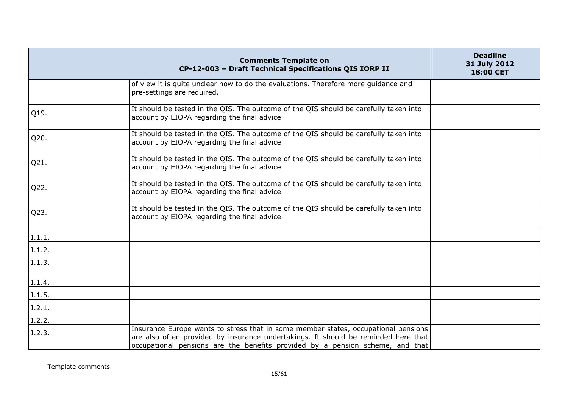|        | <b>Comments Template on</b><br>CP-12-003 - Draft Technical Specifications QIS IORP II                                                                                                                                                                     | <b>Deadline</b><br>31 July 2012<br>18:00 CET |
|--------|-----------------------------------------------------------------------------------------------------------------------------------------------------------------------------------------------------------------------------------------------------------|----------------------------------------------|
|        | of view it is quite unclear how to do the evaluations. Therefore more guidance and<br>pre-settings are required.                                                                                                                                          |                                              |
| Q19.   | It should be tested in the QIS. The outcome of the QIS should be carefully taken into<br>account by EIOPA regarding the final advice                                                                                                                      |                                              |
| Q20.   | It should be tested in the QIS. The outcome of the QIS should be carefully taken into<br>account by EIOPA regarding the final advice                                                                                                                      |                                              |
| Q21.   | It should be tested in the QIS. The outcome of the QIS should be carefully taken into<br>account by EIOPA regarding the final advice                                                                                                                      |                                              |
| Q22.   | It should be tested in the QIS. The outcome of the QIS should be carefully taken into<br>account by EIOPA regarding the final advice                                                                                                                      |                                              |
| Q23.   | It should be tested in the QIS. The outcome of the QIS should be carefully taken into<br>account by EIOPA regarding the final advice                                                                                                                      |                                              |
| I.1.1. |                                                                                                                                                                                                                                                           |                                              |
| I.1.2. |                                                                                                                                                                                                                                                           |                                              |
| I.1.3. |                                                                                                                                                                                                                                                           |                                              |
| I.1.4. |                                                                                                                                                                                                                                                           |                                              |
| I.1.5. |                                                                                                                                                                                                                                                           |                                              |
| I.2.1. |                                                                                                                                                                                                                                                           |                                              |
| I.2.2. |                                                                                                                                                                                                                                                           |                                              |
| I.2.3. | Insurance Europe wants to stress that in some member states, occupational pensions<br>are also often provided by insurance undertakings. It should be reminded here that<br>occupational pensions are the benefits provided by a pension scheme, and that |                                              |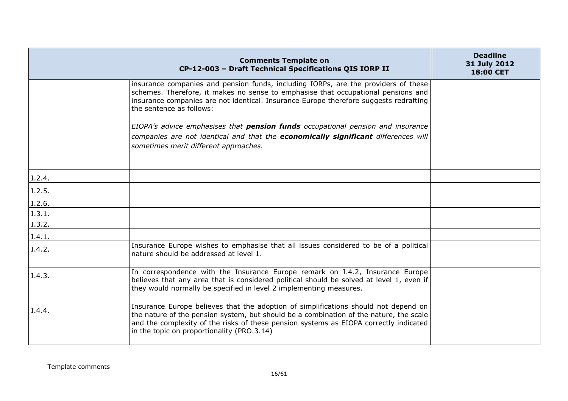|        | <b>Comments Template on</b><br>CP-12-003 - Draft Technical Specifications QIS IORP II                                                                                                                                                                                                                                | <b>Deadline</b><br>31 July 2012<br>18:00 CET |
|--------|----------------------------------------------------------------------------------------------------------------------------------------------------------------------------------------------------------------------------------------------------------------------------------------------------------------------|----------------------------------------------|
|        | insurance companies and pension funds, including IORPs, are the providers of these<br>schemes. Therefore, it makes no sense to emphasise that occupational pensions and<br>insurance companies are not identical. Insurance Europe therefore suggests redrafting<br>the sentence as follows:                         |                                              |
|        | EIOPA's advice emphasises that <b>pension funds</b> occupational pension and insurance<br>companies are not identical and that the economically significant differences will<br>sometimes merit different approaches.                                                                                                |                                              |
| I.2.4. |                                                                                                                                                                                                                                                                                                                      |                                              |
| I.2.5. |                                                                                                                                                                                                                                                                                                                      |                                              |
| I.2.6. |                                                                                                                                                                                                                                                                                                                      |                                              |
| I.3.1. |                                                                                                                                                                                                                                                                                                                      |                                              |
| I.3.2. |                                                                                                                                                                                                                                                                                                                      |                                              |
| I.4.1. |                                                                                                                                                                                                                                                                                                                      |                                              |
| I.4.2. | Insurance Europe wishes to emphasise that all issues considered to be of a political<br>nature should be addressed at level 1.                                                                                                                                                                                       |                                              |
| I.4.3. | In correspondence with the Insurance Europe remark on I.4.2, Insurance Europe<br>believes that any area that is considered political should be solved at level 1, even if<br>they would normally be specified in level 2 implementing measures.                                                                      |                                              |
| I.4.4. | Insurance Europe believes that the adoption of simplifications should not depend on<br>the nature of the pension system, but should be a combination of the nature, the scale<br>and the complexity of the risks of these pension systems as EIOPA correctly indicated<br>in the topic on proportionality (PRO.3.14) |                                              |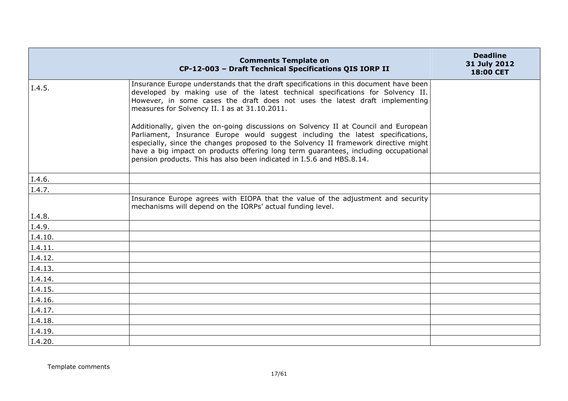|         | <b>Comments Template on</b><br>CP-12-003 - Draft Technical Specifications QIS IORP II                                                                                                                                                                                                                                                                                                                                         | <b>Deadline</b><br>31 July 2012<br>18:00 CET |
|---------|-------------------------------------------------------------------------------------------------------------------------------------------------------------------------------------------------------------------------------------------------------------------------------------------------------------------------------------------------------------------------------------------------------------------------------|----------------------------------------------|
| I.4.5.  | Insurance Europe understands that the draft specifications in this document have been<br>developed by making use of the latest technical specifications for Solvency II.<br>However, in some cases the draft does not uses the latest draft implementing<br>measures for Solvency II. I as at 31.10.2011.                                                                                                                     |                                              |
|         | Additionally, given the on-going discussions on Solvency II at Council and European<br>Parliament, Insurance Europe would suggest including the latest specifications,<br>especially, since the changes proposed to the Solvency II framework directive might<br>have a big impact on products offering long term guarantees, including occupational<br>pension products. This has also been indicated in I.5.6 and HBS.8.14. |                                              |
| I.4.6.  |                                                                                                                                                                                                                                                                                                                                                                                                                               |                                              |
| I.4.7.  |                                                                                                                                                                                                                                                                                                                                                                                                                               |                                              |
|         | Insurance Europe agrees with EIOPA that the value of the adjustment and security<br>mechanisms will depend on the IORPs' actual funding level.                                                                                                                                                                                                                                                                                |                                              |
| I.4.8.  |                                                                                                                                                                                                                                                                                                                                                                                                                               |                                              |
| I.4.9.  |                                                                                                                                                                                                                                                                                                                                                                                                                               |                                              |
| I.4.10. |                                                                                                                                                                                                                                                                                                                                                                                                                               |                                              |
| I.4.11. |                                                                                                                                                                                                                                                                                                                                                                                                                               |                                              |
| I.4.12. |                                                                                                                                                                                                                                                                                                                                                                                                                               |                                              |
| I.4.13. |                                                                                                                                                                                                                                                                                                                                                                                                                               |                                              |
| I.4.14. |                                                                                                                                                                                                                                                                                                                                                                                                                               |                                              |
| I.4.15. |                                                                                                                                                                                                                                                                                                                                                                                                                               |                                              |
| I.4.16. |                                                                                                                                                                                                                                                                                                                                                                                                                               |                                              |
| I.4.17. |                                                                                                                                                                                                                                                                                                                                                                                                                               |                                              |
| I.4.18. |                                                                                                                                                                                                                                                                                                                                                                                                                               |                                              |
| I.4.19. |                                                                                                                                                                                                                                                                                                                                                                                                                               |                                              |
| I.4.20. |                                                                                                                                                                                                                                                                                                                                                                                                                               |                                              |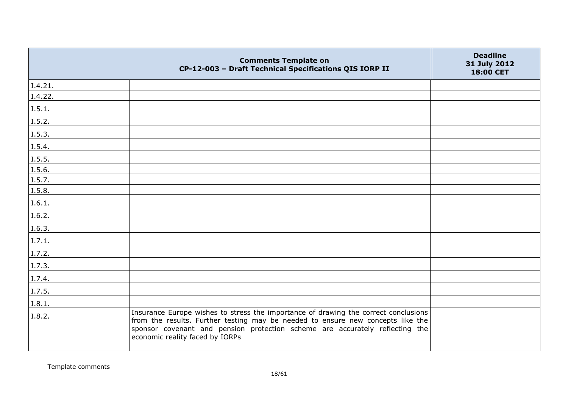|                | <b>Comments Template on</b><br>CP-12-003 - Draft Technical Specifications QIS IORP II                                                                                                                                                                                                     | <b>Deadline</b><br>31 July 2012<br>18:00 CET |
|----------------|-------------------------------------------------------------------------------------------------------------------------------------------------------------------------------------------------------------------------------------------------------------------------------------------|----------------------------------------------|
| I.4.21.        |                                                                                                                                                                                                                                                                                           |                                              |
| I.4.22.        |                                                                                                                                                                                                                                                                                           |                                              |
| I.5.1.         |                                                                                                                                                                                                                                                                                           |                                              |
| I.5.2.         |                                                                                                                                                                                                                                                                                           |                                              |
| I.5.3.         |                                                                                                                                                                                                                                                                                           |                                              |
| I.5.4.         |                                                                                                                                                                                                                                                                                           |                                              |
| I.5.5.         |                                                                                                                                                                                                                                                                                           |                                              |
| I.5.6.         |                                                                                                                                                                                                                                                                                           |                                              |
| $\vert$ I.5.7. |                                                                                                                                                                                                                                                                                           |                                              |
| I.5.8.         |                                                                                                                                                                                                                                                                                           |                                              |
| I.6.1.         |                                                                                                                                                                                                                                                                                           |                                              |
| I.6.2.         |                                                                                                                                                                                                                                                                                           |                                              |
| I.6.3.         |                                                                                                                                                                                                                                                                                           |                                              |
| I.7.1.         |                                                                                                                                                                                                                                                                                           |                                              |
| I.7.2.         |                                                                                                                                                                                                                                                                                           |                                              |
| I.7.3.         |                                                                                                                                                                                                                                                                                           |                                              |
| I.7.4.         |                                                                                                                                                                                                                                                                                           |                                              |
| I.7.5.         |                                                                                                                                                                                                                                                                                           |                                              |
| I.8.1.         |                                                                                                                                                                                                                                                                                           |                                              |
| I.8.2.         | Insurance Europe wishes to stress the importance of drawing the correct conclusions<br>from the results. Further testing may be needed to ensure new concepts like the<br>sponsor covenant and pension protection scheme are accurately reflecting the<br>economic reality faced by IORPs |                                              |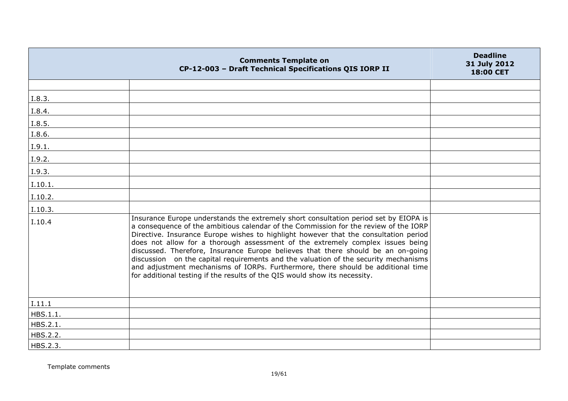|          | <b>Comments Template on</b><br>CP-12-003 - Draft Technical Specifications QIS IORP II                                                                                                                                                                                                                                                                                                                                                                                                                                                                                                                                                                                                               | <b>Deadline</b><br>31 July 2012<br>18:00 CET |
|----------|-----------------------------------------------------------------------------------------------------------------------------------------------------------------------------------------------------------------------------------------------------------------------------------------------------------------------------------------------------------------------------------------------------------------------------------------------------------------------------------------------------------------------------------------------------------------------------------------------------------------------------------------------------------------------------------------------------|----------------------------------------------|
|          |                                                                                                                                                                                                                                                                                                                                                                                                                                                                                                                                                                                                                                                                                                     |                                              |
| I.8.3.   |                                                                                                                                                                                                                                                                                                                                                                                                                                                                                                                                                                                                                                                                                                     |                                              |
| I.8.4.   |                                                                                                                                                                                                                                                                                                                                                                                                                                                                                                                                                                                                                                                                                                     |                                              |
| I.8.5.   |                                                                                                                                                                                                                                                                                                                                                                                                                                                                                                                                                                                                                                                                                                     |                                              |
| I.8.6.   |                                                                                                                                                                                                                                                                                                                                                                                                                                                                                                                                                                                                                                                                                                     |                                              |
| I.9.1.   |                                                                                                                                                                                                                                                                                                                                                                                                                                                                                                                                                                                                                                                                                                     |                                              |
| I.9.2.   |                                                                                                                                                                                                                                                                                                                                                                                                                                                                                                                                                                                                                                                                                                     |                                              |
| I.9.3.   |                                                                                                                                                                                                                                                                                                                                                                                                                                                                                                                                                                                                                                                                                                     |                                              |
| I.10.1.  |                                                                                                                                                                                                                                                                                                                                                                                                                                                                                                                                                                                                                                                                                                     |                                              |
| I.10.2.  |                                                                                                                                                                                                                                                                                                                                                                                                                                                                                                                                                                                                                                                                                                     |                                              |
| I.10.3.  |                                                                                                                                                                                                                                                                                                                                                                                                                                                                                                                                                                                                                                                                                                     |                                              |
| I.10.4   | Insurance Europe understands the extremely short consultation period set by EIOPA is<br>a consequence of the ambitious calendar of the Commission for the review of the IORP<br>Directive. Insurance Europe wishes to highlight however that the consultation period<br>does not allow for a thorough assessment of the extremely complex issues being<br>discussed. Therefore, Insurance Europe believes that there should be an on-going<br>discussion on the capital requirements and the valuation of the security mechanisms<br>and adjustment mechanisms of IORPs. Furthermore, there should be additional time<br>for additional testing if the results of the QIS would show its necessity. |                                              |
| I.11.1   |                                                                                                                                                                                                                                                                                                                                                                                                                                                                                                                                                                                                                                                                                                     |                                              |
| HBS.1.1. |                                                                                                                                                                                                                                                                                                                                                                                                                                                                                                                                                                                                                                                                                                     |                                              |
| HBS.2.1. |                                                                                                                                                                                                                                                                                                                                                                                                                                                                                                                                                                                                                                                                                                     |                                              |
| HBS.2.2. |                                                                                                                                                                                                                                                                                                                                                                                                                                                                                                                                                                                                                                                                                                     |                                              |
| HBS.2.3. |                                                                                                                                                                                                                                                                                                                                                                                                                                                                                                                                                                                                                                                                                                     |                                              |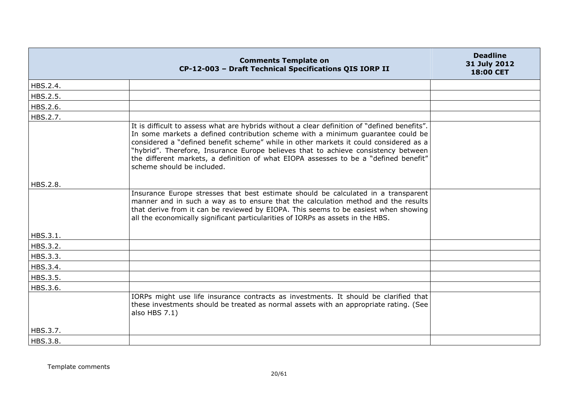|          | <b>Comments Template on</b><br>CP-12-003 - Draft Technical Specifications QIS IORP II                                                                                                                                                                                                                                                                                                                                                                                                | <b>Deadline</b><br>31 July 2012<br><b>18:00 CET</b> |
|----------|--------------------------------------------------------------------------------------------------------------------------------------------------------------------------------------------------------------------------------------------------------------------------------------------------------------------------------------------------------------------------------------------------------------------------------------------------------------------------------------|-----------------------------------------------------|
| HBS.2.4. |                                                                                                                                                                                                                                                                                                                                                                                                                                                                                      |                                                     |
| HBS.2.5. |                                                                                                                                                                                                                                                                                                                                                                                                                                                                                      |                                                     |
| HBS.2.6. |                                                                                                                                                                                                                                                                                                                                                                                                                                                                                      |                                                     |
| HBS.2.7. |                                                                                                                                                                                                                                                                                                                                                                                                                                                                                      |                                                     |
|          | It is difficult to assess what are hybrids without a clear definition of "defined benefits".<br>In some markets a defined contribution scheme with a minimum guarantee could be<br>considered a "defined benefit scheme" while in other markets it could considered as a<br>"hybrid". Therefore, Insurance Europe believes that to achieve consistency between<br>the different markets, a definition of what EIOPA assesses to be a "defined benefit"<br>scheme should be included. |                                                     |
| HBS.2.8. |                                                                                                                                                                                                                                                                                                                                                                                                                                                                                      |                                                     |
|          | Insurance Europe stresses that best estimate should be calculated in a transparent<br>manner and in such a way as to ensure that the calculation method and the results<br>that derive from it can be reviewed by EIOPA. This seems to be easiest when showing<br>all the economically significant particularities of IORPs as assets in the HBS.                                                                                                                                    |                                                     |
| HBS.3.1. |                                                                                                                                                                                                                                                                                                                                                                                                                                                                                      |                                                     |
| HBS.3.2. |                                                                                                                                                                                                                                                                                                                                                                                                                                                                                      |                                                     |
| HBS.3.3. |                                                                                                                                                                                                                                                                                                                                                                                                                                                                                      |                                                     |
| HBS.3.4. |                                                                                                                                                                                                                                                                                                                                                                                                                                                                                      |                                                     |
| HBS.3.5. |                                                                                                                                                                                                                                                                                                                                                                                                                                                                                      |                                                     |
| HBS.3.6. |                                                                                                                                                                                                                                                                                                                                                                                                                                                                                      |                                                     |
|          | IORPs might use life insurance contracts as investments. It should be clarified that<br>these investments should be treated as normal assets with an appropriate rating. (See<br>also HBS 7.1)                                                                                                                                                                                                                                                                                       |                                                     |
| HBS.3.7. |                                                                                                                                                                                                                                                                                                                                                                                                                                                                                      |                                                     |
| HBS.3.8. |                                                                                                                                                                                                                                                                                                                                                                                                                                                                                      |                                                     |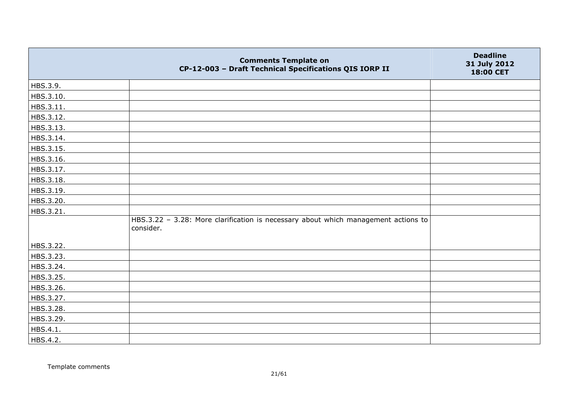|           | <b>Comments Template on</b><br>CP-12-003 - Draft Technical Specifications QIS IORP II           | <b>Deadline</b><br>31 July 2012<br>18:00 CET |
|-----------|-------------------------------------------------------------------------------------------------|----------------------------------------------|
| HBS.3.9.  |                                                                                                 |                                              |
| HBS.3.10. |                                                                                                 |                                              |
| HBS.3.11. |                                                                                                 |                                              |
| HBS.3.12. |                                                                                                 |                                              |
| HBS.3.13. |                                                                                                 |                                              |
| HBS.3.14. |                                                                                                 |                                              |
| HBS.3.15. |                                                                                                 |                                              |
| HBS.3.16. |                                                                                                 |                                              |
| HBS.3.17. |                                                                                                 |                                              |
| HBS.3.18. |                                                                                                 |                                              |
| HBS.3.19. |                                                                                                 |                                              |
| HBS.3.20. |                                                                                                 |                                              |
| HBS.3.21. |                                                                                                 |                                              |
|           | HBS.3.22 - 3.28: More clarification is necessary about which management actions to<br>consider. |                                              |
| HBS.3.22. |                                                                                                 |                                              |
| HBS.3.23. |                                                                                                 |                                              |
| HBS.3.24. |                                                                                                 |                                              |
| HBS.3.25. |                                                                                                 |                                              |
| HBS.3.26. |                                                                                                 |                                              |
| HBS.3.27. |                                                                                                 |                                              |
| HBS.3.28. |                                                                                                 |                                              |
| HBS.3.29. |                                                                                                 |                                              |
| HBS.4.1.  |                                                                                                 |                                              |
| HBS.4.2.  |                                                                                                 |                                              |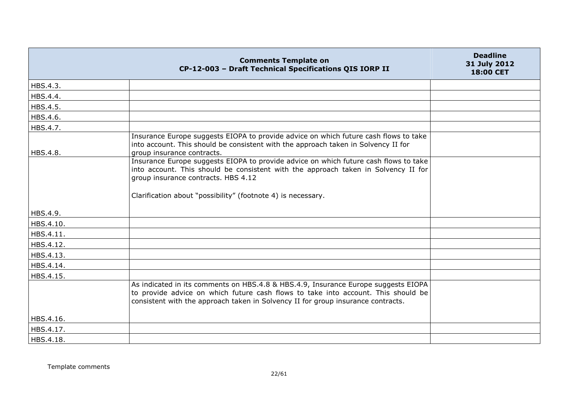|           | <b>Comments Template on</b><br>CP-12-003 - Draft Technical Specifications QIS IORP II                                                                                                                                                                       | <b>Deadline</b><br>31 July 2012<br>18:00 CET |
|-----------|-------------------------------------------------------------------------------------------------------------------------------------------------------------------------------------------------------------------------------------------------------------|----------------------------------------------|
| HBS.4.3.  |                                                                                                                                                                                                                                                             |                                              |
| HBS.4.4.  |                                                                                                                                                                                                                                                             |                                              |
| HBS.4.5.  |                                                                                                                                                                                                                                                             |                                              |
| HBS.4.6.  |                                                                                                                                                                                                                                                             |                                              |
| HBS.4.7.  |                                                                                                                                                                                                                                                             |                                              |
| HBS.4.8.  | Insurance Europe suggests EIOPA to provide advice on which future cash flows to take<br>into account. This should be consistent with the approach taken in Solvency II for<br>group insurance contracts.                                                    |                                              |
|           | Insurance Europe suggests EIOPA to provide advice on which future cash flows to take<br>into account. This should be consistent with the approach taken in Solvency II for<br>group insurance contracts. HBS 4.12                                           |                                              |
| HBS.4.9.  | Clarification about "possibility" (footnote 4) is necessary.                                                                                                                                                                                                |                                              |
| HBS.4.10. |                                                                                                                                                                                                                                                             |                                              |
| HBS.4.11. |                                                                                                                                                                                                                                                             |                                              |
| HBS.4.12. |                                                                                                                                                                                                                                                             |                                              |
| HBS.4.13. |                                                                                                                                                                                                                                                             |                                              |
| HBS.4.14. |                                                                                                                                                                                                                                                             |                                              |
| HBS.4.15. |                                                                                                                                                                                                                                                             |                                              |
|           | As indicated in its comments on HBS.4.8 & HBS.4.9, Insurance Europe suggests EIOPA<br>to provide advice on which future cash flows to take into account. This should be<br>consistent with the approach taken in Solvency II for group insurance contracts. |                                              |
| HBS.4.16. |                                                                                                                                                                                                                                                             |                                              |
| HBS.4.17. |                                                                                                                                                                                                                                                             |                                              |
| HBS.4.18. |                                                                                                                                                                                                                                                             |                                              |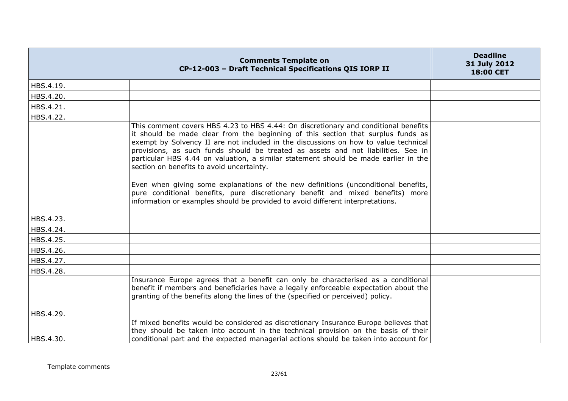|           | <b>Comments Template on</b><br>CP-12-003 - Draft Technical Specifications QIS IORP II                                                                                                                                                                                                                                                                                                                                                                                                                                                                                                                                                                                                                                                             | <b>Deadline</b><br>31 July 2012<br>18:00 CET |
|-----------|---------------------------------------------------------------------------------------------------------------------------------------------------------------------------------------------------------------------------------------------------------------------------------------------------------------------------------------------------------------------------------------------------------------------------------------------------------------------------------------------------------------------------------------------------------------------------------------------------------------------------------------------------------------------------------------------------------------------------------------------------|----------------------------------------------|
| HBS.4.19. |                                                                                                                                                                                                                                                                                                                                                                                                                                                                                                                                                                                                                                                                                                                                                   |                                              |
| HBS.4.20. |                                                                                                                                                                                                                                                                                                                                                                                                                                                                                                                                                                                                                                                                                                                                                   |                                              |
| HBS.4.21. |                                                                                                                                                                                                                                                                                                                                                                                                                                                                                                                                                                                                                                                                                                                                                   |                                              |
| HBS.4.22. |                                                                                                                                                                                                                                                                                                                                                                                                                                                                                                                                                                                                                                                                                                                                                   |                                              |
|           | This comment covers HBS 4.23 to HBS 4.44: On discretionary and conditional benefits<br>it should be made clear from the beginning of this section that surplus funds as<br>exempt by Solvency II are not included in the discussions on how to value technical<br>provisions, as such funds should be treated as assets and not liabilities. See in<br>particular HBS 4.44 on valuation, a similar statement should be made earlier in the<br>section on benefits to avoid uncertainty.<br>Even when giving some explanations of the new definitions (unconditional benefits,<br>pure conditional benefits, pure discretionary benefit and mixed benefits) more<br>information or examples should be provided to avoid different interpretations. |                                              |
| HBS.4.23. |                                                                                                                                                                                                                                                                                                                                                                                                                                                                                                                                                                                                                                                                                                                                                   |                                              |
| HBS.4.24. |                                                                                                                                                                                                                                                                                                                                                                                                                                                                                                                                                                                                                                                                                                                                                   |                                              |
| HBS.4.25. |                                                                                                                                                                                                                                                                                                                                                                                                                                                                                                                                                                                                                                                                                                                                                   |                                              |
| HBS.4.26. |                                                                                                                                                                                                                                                                                                                                                                                                                                                                                                                                                                                                                                                                                                                                                   |                                              |
| HBS.4.27. |                                                                                                                                                                                                                                                                                                                                                                                                                                                                                                                                                                                                                                                                                                                                                   |                                              |
| HBS.4.28. |                                                                                                                                                                                                                                                                                                                                                                                                                                                                                                                                                                                                                                                                                                                                                   |                                              |
| HBS.4.29. | Insurance Europe agrees that a benefit can only be characterised as a conditional<br>benefit if members and beneficiaries have a legally enforceable expectation about the<br>granting of the benefits along the lines of the (specified or perceived) policy.                                                                                                                                                                                                                                                                                                                                                                                                                                                                                    |                                              |
|           | If mixed benefits would be considered as discretionary Insurance Europe believes that                                                                                                                                                                                                                                                                                                                                                                                                                                                                                                                                                                                                                                                             |                                              |
| HBS.4.30. | they should be taken into account in the technical provision on the basis of their<br>conditional part and the expected managerial actions should be taken into account for                                                                                                                                                                                                                                                                                                                                                                                                                                                                                                                                                                       |                                              |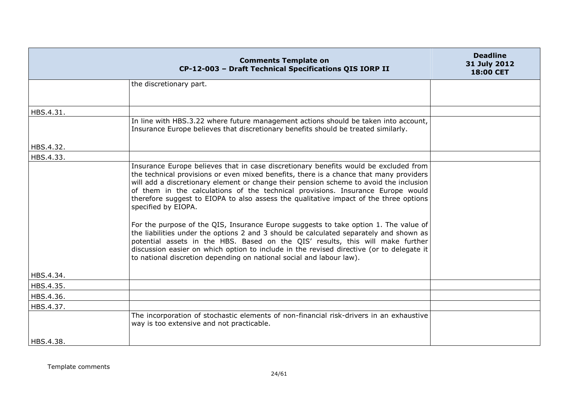|           | <b>Comments Template on</b><br>CP-12-003 - Draft Technical Specifications QIS IORP II                                                                                                                                                                                                                                                                                                                                                                                       | <b>Deadline</b><br>31 July 2012<br>18:00 CET |
|-----------|-----------------------------------------------------------------------------------------------------------------------------------------------------------------------------------------------------------------------------------------------------------------------------------------------------------------------------------------------------------------------------------------------------------------------------------------------------------------------------|----------------------------------------------|
|           | the discretionary part.                                                                                                                                                                                                                                                                                                                                                                                                                                                     |                                              |
|           |                                                                                                                                                                                                                                                                                                                                                                                                                                                                             |                                              |
| HBS.4.31. |                                                                                                                                                                                                                                                                                                                                                                                                                                                                             |                                              |
|           | In line with HBS.3.22 where future management actions should be taken into account,<br>Insurance Europe believes that discretionary benefits should be treated similarly.                                                                                                                                                                                                                                                                                                   |                                              |
| HBS.4.32. |                                                                                                                                                                                                                                                                                                                                                                                                                                                                             |                                              |
| HBS.4.33. |                                                                                                                                                                                                                                                                                                                                                                                                                                                                             |                                              |
|           | Insurance Europe believes that in case discretionary benefits would be excluded from<br>the technical provisions or even mixed benefits, there is a chance that many providers<br>will add a discretionary element or change their pension scheme to avoid the inclusion<br>of them in the calculations of the technical provisions. Insurance Europe would<br>therefore suggest to EIOPA to also assess the qualitative impact of the three options<br>specified by EIOPA. |                                              |
|           | For the purpose of the QIS, Insurance Europe suggests to take option 1. The value of<br>the liabilities under the options 2 and 3 should be calculated separately and shown as<br>potential assets in the HBS. Based on the QIS' results, this will make further<br>discussion easier on which option to include in the revised directive (or to delegate it<br>to national discretion depending on national social and labour law).                                        |                                              |
| HBS.4.34. |                                                                                                                                                                                                                                                                                                                                                                                                                                                                             |                                              |
| HBS.4.35. |                                                                                                                                                                                                                                                                                                                                                                                                                                                                             |                                              |
| HBS.4.36. |                                                                                                                                                                                                                                                                                                                                                                                                                                                                             |                                              |
| HBS.4.37. |                                                                                                                                                                                                                                                                                                                                                                                                                                                                             |                                              |
|           | The incorporation of stochastic elements of non-financial risk-drivers in an exhaustive<br>way is too extensive and not practicable.                                                                                                                                                                                                                                                                                                                                        |                                              |
| HBS.4.38. |                                                                                                                                                                                                                                                                                                                                                                                                                                                                             |                                              |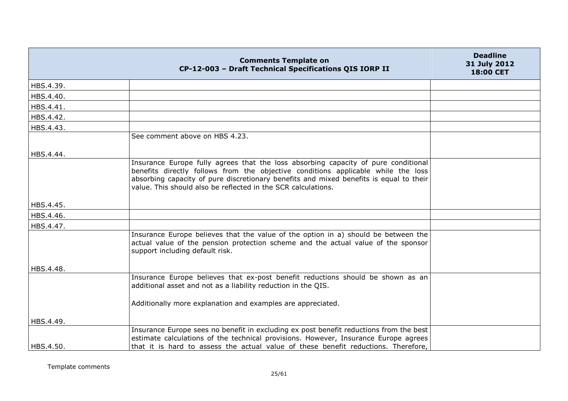|           | <b>Comments Template on</b><br>CP-12-003 - Draft Technical Specifications QIS IORP II                                                                                                                                                                                                                                              | <b>Deadline</b><br>31 July 2012<br>18:00 CET |
|-----------|------------------------------------------------------------------------------------------------------------------------------------------------------------------------------------------------------------------------------------------------------------------------------------------------------------------------------------|----------------------------------------------|
| HBS.4.39. |                                                                                                                                                                                                                                                                                                                                    |                                              |
| HBS.4.40. |                                                                                                                                                                                                                                                                                                                                    |                                              |
| HBS.4.41. |                                                                                                                                                                                                                                                                                                                                    |                                              |
| HBS.4.42. |                                                                                                                                                                                                                                                                                                                                    |                                              |
| HBS.4.43. |                                                                                                                                                                                                                                                                                                                                    |                                              |
|           | See comment above on HBS 4.23.                                                                                                                                                                                                                                                                                                     |                                              |
| HBS.4.44. | Insurance Europe fully agrees that the loss absorbing capacity of pure conditional<br>benefits directly follows from the objective conditions applicable while the loss<br>absorbing capacity of pure discretionary benefits and mixed benefits is equal to their<br>value. This should also be reflected in the SCR calculations. |                                              |
| HBS.4.45. |                                                                                                                                                                                                                                                                                                                                    |                                              |
| HBS.4.46. |                                                                                                                                                                                                                                                                                                                                    |                                              |
| HBS.4.47. |                                                                                                                                                                                                                                                                                                                                    |                                              |
|           | Insurance Europe believes that the value of the option in a) should be between the<br>actual value of the pension protection scheme and the actual value of the sponsor<br>support including default risk.                                                                                                                         |                                              |
| HBS.4.48. |                                                                                                                                                                                                                                                                                                                                    |                                              |
|           | Insurance Europe believes that ex-post benefit reductions should be shown as an<br>additional asset and not as a liability reduction in the QIS.                                                                                                                                                                                   |                                              |
|           | Additionally more explanation and examples are appreciated.                                                                                                                                                                                                                                                                        |                                              |
| HBS.4.49. |                                                                                                                                                                                                                                                                                                                                    |                                              |
| HBS.4.50. | Insurance Europe sees no benefit in excluding ex post benefit reductions from the best<br>estimate calculations of the technical provisions. However, Insurance Europe agrees<br>that it is hard to assess the actual value of these benefit reductions. Therefore,                                                                |                                              |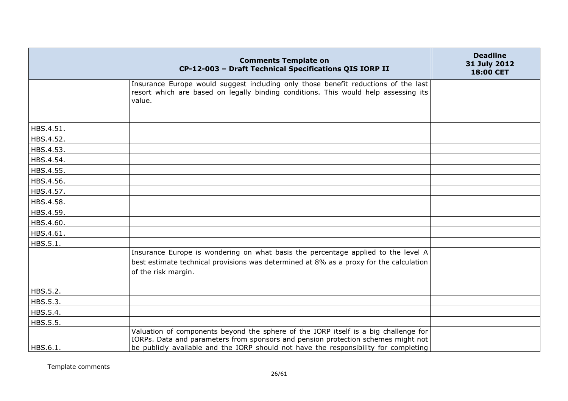|           | <b>Comments Template on</b><br>CP-12-003 - Draft Technical Specifications QIS IORP II                                                                                                                                                                            | <b>Deadline</b><br>31 July 2012<br>18:00 CET |
|-----------|------------------------------------------------------------------------------------------------------------------------------------------------------------------------------------------------------------------------------------------------------------------|----------------------------------------------|
|           | Insurance Europe would suggest including only those benefit reductions of the last<br>resort which are based on legally binding conditions. This would help assessing its<br>value.                                                                              |                                              |
| HBS.4.51. |                                                                                                                                                                                                                                                                  |                                              |
| HBS.4.52. |                                                                                                                                                                                                                                                                  |                                              |
| HBS.4.53. |                                                                                                                                                                                                                                                                  |                                              |
| HBS.4.54. |                                                                                                                                                                                                                                                                  |                                              |
| HBS.4.55. |                                                                                                                                                                                                                                                                  |                                              |
| HBS.4.56. |                                                                                                                                                                                                                                                                  |                                              |
| HBS.4.57. |                                                                                                                                                                                                                                                                  |                                              |
| HBS.4.58. |                                                                                                                                                                                                                                                                  |                                              |
| HBS.4.59. |                                                                                                                                                                                                                                                                  |                                              |
| HBS.4.60. |                                                                                                                                                                                                                                                                  |                                              |
| HBS.4.61. |                                                                                                                                                                                                                                                                  |                                              |
| HBS.5.1.  |                                                                                                                                                                                                                                                                  |                                              |
|           | Insurance Europe is wondering on what basis the percentage applied to the level A<br>best estimate technical provisions was determined at 8% as a proxy for the calculation<br>of the risk margin.                                                               |                                              |
| HBS.5.2.  |                                                                                                                                                                                                                                                                  |                                              |
| HBS.5.3.  |                                                                                                                                                                                                                                                                  |                                              |
| HBS.5.4.  |                                                                                                                                                                                                                                                                  |                                              |
| HBS.5.5.  |                                                                                                                                                                                                                                                                  |                                              |
| HBS.6.1.  | Valuation of components beyond the sphere of the IORP itself is a big challenge for<br>IORPs. Data and parameters from sponsors and pension protection schemes might not<br>be publicly available and the IORP should not have the responsibility for completing |                                              |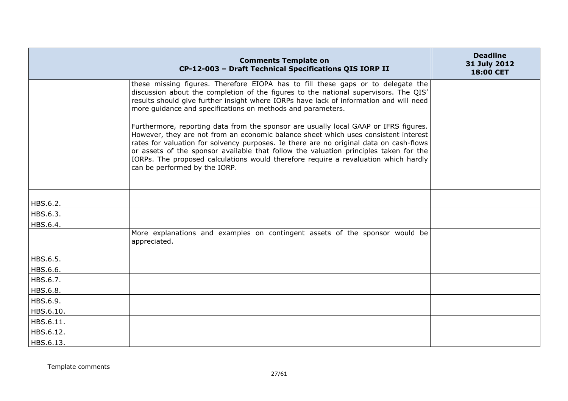|           | <b>Comments Template on</b><br>CP-12-003 - Draft Technical Specifications QIS IORP II                                                                                                                                                                                                                                                                                                                                                                                                  | <b>Deadline</b><br>31 July 2012<br>18:00 CET |
|-----------|----------------------------------------------------------------------------------------------------------------------------------------------------------------------------------------------------------------------------------------------------------------------------------------------------------------------------------------------------------------------------------------------------------------------------------------------------------------------------------------|----------------------------------------------|
|           | these missing figures. Therefore EIOPA has to fill these gaps or to delegate the<br>discussion about the completion of the figures to the national supervisors. The QIS'<br>results should give further insight where IORPs have lack of information and will need<br>more quidance and specifications on methods and parameters.                                                                                                                                                      |                                              |
|           | Furthermore, reporting data from the sponsor are usually local GAAP or IFRS figures.<br>However, they are not from an economic balance sheet which uses consistent interest<br>rates for valuation for solvency purposes. Ie there are no original data on cash-flows<br>or assets of the sponsor available that follow the valuation principles taken for the<br>IORPs. The proposed calculations would therefore require a revaluation which hardly<br>can be performed by the IORP. |                                              |
| HBS.6.2.  |                                                                                                                                                                                                                                                                                                                                                                                                                                                                                        |                                              |
| HBS.6.3.  |                                                                                                                                                                                                                                                                                                                                                                                                                                                                                        |                                              |
| HBS.6.4.  |                                                                                                                                                                                                                                                                                                                                                                                                                                                                                        |                                              |
|           | More explanations and examples on contingent assets of the sponsor would be<br>appreciated.                                                                                                                                                                                                                                                                                                                                                                                            |                                              |
| HBS.6.5.  |                                                                                                                                                                                                                                                                                                                                                                                                                                                                                        |                                              |
| HBS.6.6.  |                                                                                                                                                                                                                                                                                                                                                                                                                                                                                        |                                              |
| HBS.6.7.  |                                                                                                                                                                                                                                                                                                                                                                                                                                                                                        |                                              |
| HBS.6.8.  |                                                                                                                                                                                                                                                                                                                                                                                                                                                                                        |                                              |
| HBS.6.9.  |                                                                                                                                                                                                                                                                                                                                                                                                                                                                                        |                                              |
| HBS.6.10. |                                                                                                                                                                                                                                                                                                                                                                                                                                                                                        |                                              |
| HBS.6.11. |                                                                                                                                                                                                                                                                                                                                                                                                                                                                                        |                                              |
| HBS.6.12. |                                                                                                                                                                                                                                                                                                                                                                                                                                                                                        |                                              |
| HBS.6.13. |                                                                                                                                                                                                                                                                                                                                                                                                                                                                                        |                                              |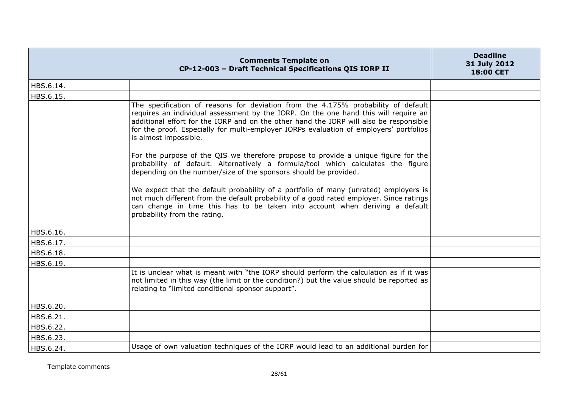|           | <b>Comments Template on</b><br>CP-12-003 - Draft Technical Specifications QIS IORP II                                                                                                                                                                                                                                                                                                 | <b>Deadline</b><br>31 July 2012<br><b>18:00 CET</b> |
|-----------|---------------------------------------------------------------------------------------------------------------------------------------------------------------------------------------------------------------------------------------------------------------------------------------------------------------------------------------------------------------------------------------|-----------------------------------------------------|
| HBS.6.14. |                                                                                                                                                                                                                                                                                                                                                                                       |                                                     |
| HBS.6.15. |                                                                                                                                                                                                                                                                                                                                                                                       |                                                     |
|           | The specification of reasons for deviation from the 4.175% probability of default<br>requires an individual assessment by the IORP. On the one hand this will require an<br>additional effort for the IORP and on the other hand the IORP will also be responsible<br>for the proof. Especially for multi-employer IORPs evaluation of employers' portfolios<br>is almost impossible. |                                                     |
|           | For the purpose of the QIS we therefore propose to provide a unique figure for the<br>probability of default. Alternatively a formula/tool which calculates the figure<br>depending on the number/size of the sponsors should be provided.                                                                                                                                            |                                                     |
|           | We expect that the default probability of a portfolio of many (unrated) employers is<br>not much different from the default probability of a good rated employer. Since ratings<br>can change in time this has to be taken into account when deriving a default<br>probability from the rating.                                                                                       |                                                     |
| HBS.6.16. |                                                                                                                                                                                                                                                                                                                                                                                       |                                                     |
| HBS.6.17. |                                                                                                                                                                                                                                                                                                                                                                                       |                                                     |
| HBS.6.18. |                                                                                                                                                                                                                                                                                                                                                                                       |                                                     |
| HBS.6.19. |                                                                                                                                                                                                                                                                                                                                                                                       |                                                     |
|           | It is unclear what is meant with "the IORP should perform the calculation as if it was<br>not limited in this way (the limit or the condition?) but the value should be reported as<br>relating to "limited conditional sponsor support".                                                                                                                                             |                                                     |
| HBS.6.20. |                                                                                                                                                                                                                                                                                                                                                                                       |                                                     |
| HBS.6.21. |                                                                                                                                                                                                                                                                                                                                                                                       |                                                     |
| HBS.6.22. |                                                                                                                                                                                                                                                                                                                                                                                       |                                                     |
| HBS.6.23. |                                                                                                                                                                                                                                                                                                                                                                                       |                                                     |
| HBS.6.24. | Usage of own valuation techniques of the IORP would lead to an additional burden for                                                                                                                                                                                                                                                                                                  |                                                     |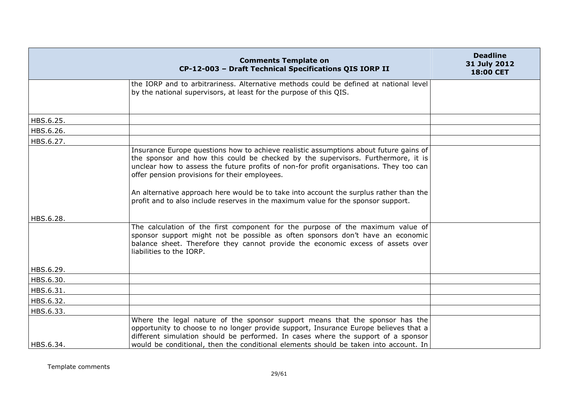|           | <b>Comments Template on</b><br>CP-12-003 - Draft Technical Specifications QIS IORP II                                                                                                                                                                                                                                                                                                                                                                                                               | <b>Deadline</b><br>31 July 2012<br>18:00 CET |
|-----------|-----------------------------------------------------------------------------------------------------------------------------------------------------------------------------------------------------------------------------------------------------------------------------------------------------------------------------------------------------------------------------------------------------------------------------------------------------------------------------------------------------|----------------------------------------------|
|           | the IORP and to arbitrariness. Alternative methods could be defined at national level<br>by the national supervisors, at least for the purpose of this QIS.                                                                                                                                                                                                                                                                                                                                         |                                              |
| HBS.6.25. |                                                                                                                                                                                                                                                                                                                                                                                                                                                                                                     |                                              |
| HBS.6.26. |                                                                                                                                                                                                                                                                                                                                                                                                                                                                                                     |                                              |
| HBS.6.27. |                                                                                                                                                                                                                                                                                                                                                                                                                                                                                                     |                                              |
|           | Insurance Europe questions how to achieve realistic assumptions about future gains of<br>the sponsor and how this could be checked by the supervisors. Furthermore, it is<br>unclear how to assess the future profits of non-for profit organisations. They too can<br>offer pension provisions for their employees.<br>An alternative approach here would be to take into account the surplus rather than the<br>profit and to also include reserves in the maximum value for the sponsor support. |                                              |
| HBS.6.28. |                                                                                                                                                                                                                                                                                                                                                                                                                                                                                                     |                                              |
|           | The calculation of the first component for the purpose of the maximum value of<br>sponsor support might not be possible as often sponsors don't have an economic<br>balance sheet. Therefore they cannot provide the economic excess of assets over<br>liabilities to the IORP.                                                                                                                                                                                                                     |                                              |
| HBS.6.29. |                                                                                                                                                                                                                                                                                                                                                                                                                                                                                                     |                                              |
| HBS.6.30. |                                                                                                                                                                                                                                                                                                                                                                                                                                                                                                     |                                              |
| HBS.6.31. |                                                                                                                                                                                                                                                                                                                                                                                                                                                                                                     |                                              |
| HBS.6.32. |                                                                                                                                                                                                                                                                                                                                                                                                                                                                                                     |                                              |
| HBS.6.33. |                                                                                                                                                                                                                                                                                                                                                                                                                                                                                                     |                                              |
| HBS.6.34. | Where the legal nature of the sponsor support means that the sponsor has the<br>opportunity to choose to no longer provide support, Insurance Europe believes that a<br>different simulation should be performed. In cases where the support of a sponsor<br>would be conditional, then the conditional elements should be taken into account. In                                                                                                                                                   |                                              |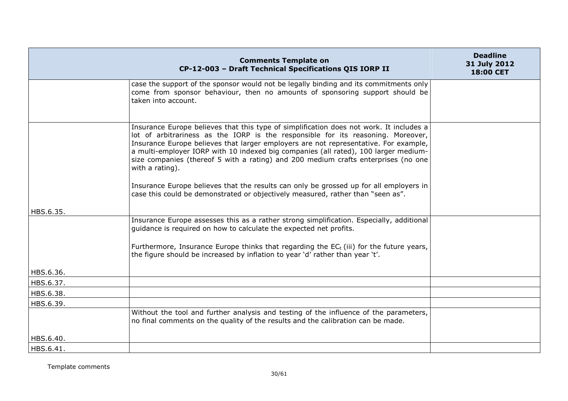|           | <b>Comments Template on</b><br>CP-12-003 - Draft Technical Specifications QIS IORP II                                                                                                                                                                                                                                                                                                                                                                               | <b>Deadline</b><br>31 July 2012<br>18:00 CET |
|-----------|---------------------------------------------------------------------------------------------------------------------------------------------------------------------------------------------------------------------------------------------------------------------------------------------------------------------------------------------------------------------------------------------------------------------------------------------------------------------|----------------------------------------------|
|           | case the support of the sponsor would not be legally binding and its commitments only<br>come from sponsor behaviour, then no amounts of sponsoring support should be<br>taken into account.                                                                                                                                                                                                                                                                        |                                              |
|           | Insurance Europe believes that this type of simplification does not work. It includes a<br>lot of arbitrariness as the IORP is the responsible for its reasoning. Moreover,<br>Insurance Europe believes that larger employers are not representative. For example,<br>a multi-employer IORP with 10 indexed big companies (all rated), 100 larger medium-<br>size companies (thereof 5 with a rating) and 200 medium crafts enterprises (no one<br>with a rating). |                                              |
|           | Insurance Europe believes that the results can only be grossed up for all employers in<br>case this could be demonstrated or objectively measured, rather than "seen as".                                                                                                                                                                                                                                                                                           |                                              |
| HBS.6.35. |                                                                                                                                                                                                                                                                                                                                                                                                                                                                     |                                              |
|           | Insurance Europe assesses this as a rather strong simplification. Especially, additional<br>guidance is required on how to calculate the expected net profits.                                                                                                                                                                                                                                                                                                      |                                              |
|           | Furthermore, Insurance Europe thinks that regarding the $EC_t$ (iii) for the future years,<br>the figure should be increased by inflation to year 'd' rather than year 't'.                                                                                                                                                                                                                                                                                         |                                              |
| HBS.6.36. |                                                                                                                                                                                                                                                                                                                                                                                                                                                                     |                                              |
| HBS.6.37. |                                                                                                                                                                                                                                                                                                                                                                                                                                                                     |                                              |
| HBS.6.38. |                                                                                                                                                                                                                                                                                                                                                                                                                                                                     |                                              |
| HBS.6.39. |                                                                                                                                                                                                                                                                                                                                                                                                                                                                     |                                              |
|           | Without the tool and further analysis and testing of the influence of the parameters,<br>no final comments on the quality of the results and the calibration can be made.                                                                                                                                                                                                                                                                                           |                                              |
| HBS.6.40. |                                                                                                                                                                                                                                                                                                                                                                                                                                                                     |                                              |
| HBS.6.41. |                                                                                                                                                                                                                                                                                                                                                                                                                                                                     |                                              |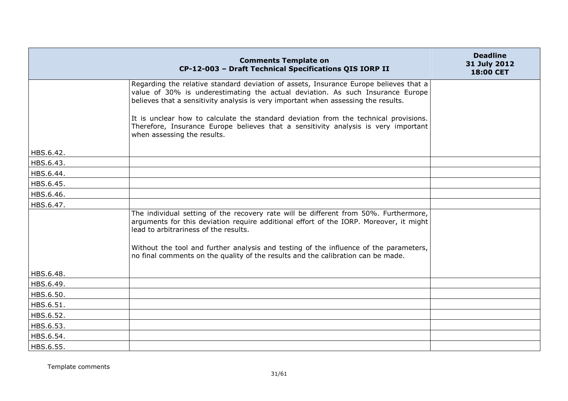|           | <b>Comments Template on</b><br>CP-12-003 - Draft Technical Specifications QIS IORP II                                                                                                                                                                                                                                                                                                                | <b>Deadline</b><br>31 July 2012<br>18:00 CET |
|-----------|------------------------------------------------------------------------------------------------------------------------------------------------------------------------------------------------------------------------------------------------------------------------------------------------------------------------------------------------------------------------------------------------------|----------------------------------------------|
|           | Regarding the relative standard deviation of assets, Insurance Europe believes that a<br>value of 30% is underestimating the actual deviation. As such Insurance Europe<br>believes that a sensitivity analysis is very important when assessing the results.                                                                                                                                        |                                              |
|           | It is unclear how to calculate the standard deviation from the technical provisions.<br>Therefore, Insurance Europe believes that a sensitivity analysis is very important<br>when assessing the results.                                                                                                                                                                                            |                                              |
| HBS.6.42. |                                                                                                                                                                                                                                                                                                                                                                                                      |                                              |
| HBS.6.43. |                                                                                                                                                                                                                                                                                                                                                                                                      |                                              |
| HBS.6.44. |                                                                                                                                                                                                                                                                                                                                                                                                      |                                              |
| HBS.6.45. |                                                                                                                                                                                                                                                                                                                                                                                                      |                                              |
| HBS.6.46. |                                                                                                                                                                                                                                                                                                                                                                                                      |                                              |
| HBS.6.47. |                                                                                                                                                                                                                                                                                                                                                                                                      |                                              |
|           | The individual setting of the recovery rate will be different from 50%. Furthermore,<br>arguments for this deviation require additional effort of the IORP. Moreover, it might<br>lead to arbitrariness of the results.<br>Without the tool and further analysis and testing of the influence of the parameters,<br>no final comments on the quality of the results and the calibration can be made. |                                              |
| HBS.6.48. |                                                                                                                                                                                                                                                                                                                                                                                                      |                                              |
| HBS.6.49. |                                                                                                                                                                                                                                                                                                                                                                                                      |                                              |
| HBS.6.50. |                                                                                                                                                                                                                                                                                                                                                                                                      |                                              |
| HBS.6.51. |                                                                                                                                                                                                                                                                                                                                                                                                      |                                              |
| HBS.6.52. |                                                                                                                                                                                                                                                                                                                                                                                                      |                                              |
| HBS.6.53. |                                                                                                                                                                                                                                                                                                                                                                                                      |                                              |
| HBS.6.54. |                                                                                                                                                                                                                                                                                                                                                                                                      |                                              |
| HBS.6.55. |                                                                                                                                                                                                                                                                                                                                                                                                      |                                              |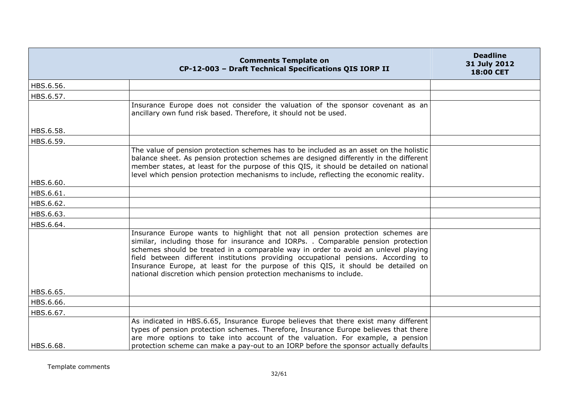|           | <b>Comments Template on</b><br>CP-12-003 - Draft Technical Specifications QIS IORP II                                                                                                                                                                                                                                                                                                                                                                                                                       | <b>Deadline</b><br>31 July 2012<br>18:00 CET |
|-----------|-------------------------------------------------------------------------------------------------------------------------------------------------------------------------------------------------------------------------------------------------------------------------------------------------------------------------------------------------------------------------------------------------------------------------------------------------------------------------------------------------------------|----------------------------------------------|
| HBS.6.56. |                                                                                                                                                                                                                                                                                                                                                                                                                                                                                                             |                                              |
| HBS.6.57. |                                                                                                                                                                                                                                                                                                                                                                                                                                                                                                             |                                              |
|           | Insurance Europe does not consider the valuation of the sponsor covenant as an<br>ancillary own fund risk based. Therefore, it should not be used.                                                                                                                                                                                                                                                                                                                                                          |                                              |
| HBS.6.58. |                                                                                                                                                                                                                                                                                                                                                                                                                                                                                                             |                                              |
| HBS.6.59. |                                                                                                                                                                                                                                                                                                                                                                                                                                                                                                             |                                              |
|           | The value of pension protection schemes has to be included as an asset on the holistic<br>balance sheet. As pension protection schemes are designed differently in the different<br>member states, at least for the purpose of this QIS, it should be detailed on national<br>level which pension protection mechanisms to include, reflecting the economic reality.                                                                                                                                        |                                              |
| HBS.6.60. |                                                                                                                                                                                                                                                                                                                                                                                                                                                                                                             |                                              |
| HBS.6.61. |                                                                                                                                                                                                                                                                                                                                                                                                                                                                                                             |                                              |
| HBS.6.62. |                                                                                                                                                                                                                                                                                                                                                                                                                                                                                                             |                                              |
| HBS.6.63. |                                                                                                                                                                                                                                                                                                                                                                                                                                                                                                             |                                              |
| HBS.6.64. |                                                                                                                                                                                                                                                                                                                                                                                                                                                                                                             |                                              |
|           | Insurance Europe wants to highlight that not all pension protection schemes are<br>similar, including those for insurance and IORPs. . Comparable pension protection<br>schemes should be treated in a comparable way in order to avoid an unlevel playing<br>field between different institutions providing occupational pensions. According to<br>Insurance Europe, at least for the purpose of this QIS, it should be detailed on<br>national discretion which pension protection mechanisms to include. |                                              |
| HBS.6.65. |                                                                                                                                                                                                                                                                                                                                                                                                                                                                                                             |                                              |
| HBS.6.66. |                                                                                                                                                                                                                                                                                                                                                                                                                                                                                                             |                                              |
| HBS.6.67. |                                                                                                                                                                                                                                                                                                                                                                                                                                                                                                             |                                              |
| HBS.6.68. | As indicated in HBS.6.65, Insurance Europe believes that there exist many different<br>types of pension protection schemes. Therefore, Insurance Europe believes that there<br>are more options to take into account of the valuation. For example, a pension<br>protection scheme can make a pay-out to an IORP before the sponsor actually defaults                                                                                                                                                       |                                              |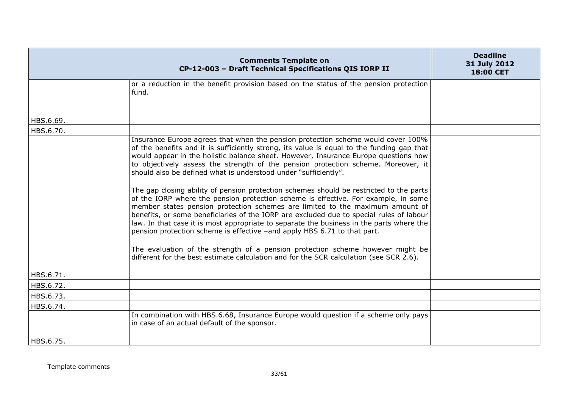|           | <b>Comments Template on</b><br>CP-12-003 - Draft Technical Specifications QIS IORP II                                                                                                                                                                                                                                                                                                                                                                                                                                                                                                                                                                                                                                                                                                                                                                                                                                                                                                                                                                                                                                                         | <b>Deadline</b><br>31 July 2012<br>18:00 CET |
|-----------|-----------------------------------------------------------------------------------------------------------------------------------------------------------------------------------------------------------------------------------------------------------------------------------------------------------------------------------------------------------------------------------------------------------------------------------------------------------------------------------------------------------------------------------------------------------------------------------------------------------------------------------------------------------------------------------------------------------------------------------------------------------------------------------------------------------------------------------------------------------------------------------------------------------------------------------------------------------------------------------------------------------------------------------------------------------------------------------------------------------------------------------------------|----------------------------------------------|
|           | or a reduction in the benefit provision based on the status of the pension protection<br>fund.                                                                                                                                                                                                                                                                                                                                                                                                                                                                                                                                                                                                                                                                                                                                                                                                                                                                                                                                                                                                                                                |                                              |
| HBS.6.69. |                                                                                                                                                                                                                                                                                                                                                                                                                                                                                                                                                                                                                                                                                                                                                                                                                                                                                                                                                                                                                                                                                                                                               |                                              |
| HBS.6.70. |                                                                                                                                                                                                                                                                                                                                                                                                                                                                                                                                                                                                                                                                                                                                                                                                                                                                                                                                                                                                                                                                                                                                               |                                              |
|           | Insurance Europe agrees that when the pension protection scheme would cover 100%<br>of the benefits and it is sufficiently strong, its value is equal to the funding gap that<br>would appear in the holistic balance sheet. However, Insurance Europe questions how<br>to objectively assess the strength of the pension protection scheme. Moreover, it<br>should also be defined what is understood under "sufficiently".<br>The gap closing ability of pension protection schemes should be restricted to the parts<br>of the IORP where the pension protection scheme is effective. For example, in some<br>member states pension protection schemes are limited to the maximum amount of<br>benefits, or some beneficiaries of the IORP are excluded due to special rules of labour<br>law. In that case it is most appropriate to separate the business in the parts where the<br>pension protection scheme is effective -and apply HBS 6.71 to that part.<br>The evaluation of the strength of a pension protection scheme however might be<br>different for the best estimate calculation and for the SCR calculation (see SCR 2.6). |                                              |
| HBS.6.71. |                                                                                                                                                                                                                                                                                                                                                                                                                                                                                                                                                                                                                                                                                                                                                                                                                                                                                                                                                                                                                                                                                                                                               |                                              |
| HBS.6.72. |                                                                                                                                                                                                                                                                                                                                                                                                                                                                                                                                                                                                                                                                                                                                                                                                                                                                                                                                                                                                                                                                                                                                               |                                              |
| HBS.6.73. |                                                                                                                                                                                                                                                                                                                                                                                                                                                                                                                                                                                                                                                                                                                                                                                                                                                                                                                                                                                                                                                                                                                                               |                                              |
| HBS.6.74. |                                                                                                                                                                                                                                                                                                                                                                                                                                                                                                                                                                                                                                                                                                                                                                                                                                                                                                                                                                                                                                                                                                                                               |                                              |
|           | In combination with HBS.6.68, Insurance Europe would question if a scheme only pays<br>in case of an actual default of the sponsor.                                                                                                                                                                                                                                                                                                                                                                                                                                                                                                                                                                                                                                                                                                                                                                                                                                                                                                                                                                                                           |                                              |
| HBS.6.75. |                                                                                                                                                                                                                                                                                                                                                                                                                                                                                                                                                                                                                                                                                                                                                                                                                                                                                                                                                                                                                                                                                                                                               |                                              |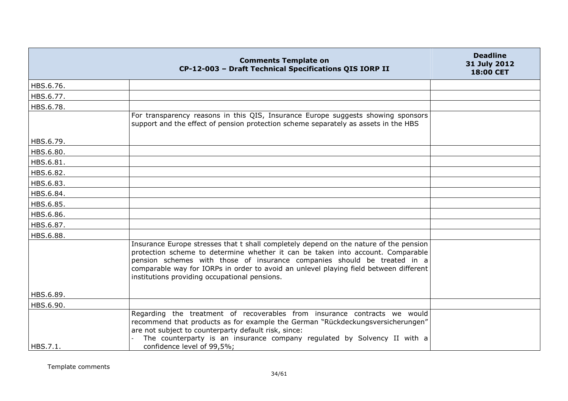|           | <b>Comments Template on</b><br>CP-12-003 - Draft Technical Specifications QIS IORP II                                                                                                                                                                                                                                                                                                          | <b>Deadline</b><br>31 July 2012<br>18:00 CET |
|-----------|------------------------------------------------------------------------------------------------------------------------------------------------------------------------------------------------------------------------------------------------------------------------------------------------------------------------------------------------------------------------------------------------|----------------------------------------------|
| HBS.6.76. |                                                                                                                                                                                                                                                                                                                                                                                                |                                              |
| HBS.6.77. |                                                                                                                                                                                                                                                                                                                                                                                                |                                              |
| HBS.6.78. |                                                                                                                                                                                                                                                                                                                                                                                                |                                              |
|           | For transparency reasons in this QIS, Insurance Europe suggests showing sponsors<br>support and the effect of pension protection scheme separately as assets in the HBS                                                                                                                                                                                                                        |                                              |
| HBS.6.79. |                                                                                                                                                                                                                                                                                                                                                                                                |                                              |
| HBS.6.80. |                                                                                                                                                                                                                                                                                                                                                                                                |                                              |
| HBS.6.81. |                                                                                                                                                                                                                                                                                                                                                                                                |                                              |
| HBS.6.82. |                                                                                                                                                                                                                                                                                                                                                                                                |                                              |
| HBS.6.83. |                                                                                                                                                                                                                                                                                                                                                                                                |                                              |
| HBS.6.84. |                                                                                                                                                                                                                                                                                                                                                                                                |                                              |
| HBS.6.85. |                                                                                                                                                                                                                                                                                                                                                                                                |                                              |
| HBS.6.86. |                                                                                                                                                                                                                                                                                                                                                                                                |                                              |
| HBS.6.87. |                                                                                                                                                                                                                                                                                                                                                                                                |                                              |
| HBS.6.88. |                                                                                                                                                                                                                                                                                                                                                                                                |                                              |
|           | Insurance Europe stresses that t shall completely depend on the nature of the pension<br>protection scheme to determine whether it can be taken into account. Comparable<br>pension schemes with those of insurance companies should be treated in a<br>comparable way for IORPs in order to avoid an unlevel playing field between different<br>institutions providing occupational pensions. |                                              |
| HBS.6.89. |                                                                                                                                                                                                                                                                                                                                                                                                |                                              |
| HBS.6.90. |                                                                                                                                                                                                                                                                                                                                                                                                |                                              |
| HBS.7.1.  | Regarding the treatment of recoverables from insurance contracts we would<br>recommend that products as for example the German "Rückdeckungsversicherungen"<br>are not subject to counterparty default risk, since:<br>The counterparty is an insurance company regulated by Solvency II with a<br>confidence level of 99,5%;                                                                  |                                              |
|           |                                                                                                                                                                                                                                                                                                                                                                                                |                                              |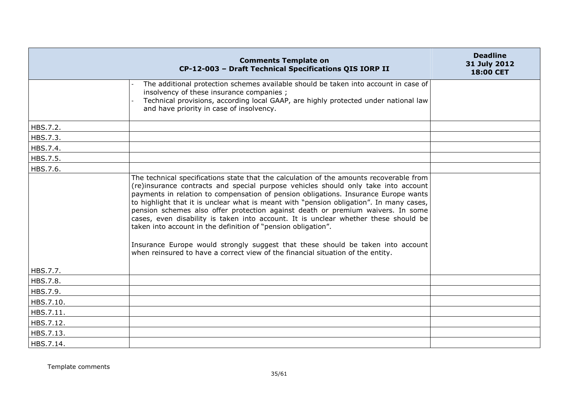|           | <b>Comments Template on</b><br>CP-12-003 - Draft Technical Specifications QIS IORP II                                                                                                                                                                                                                                                                                                                                                                                                                                                                                                                                                                                                                                                                                            | <b>Deadline</b><br>31 July 2012<br>18:00 CET |
|-----------|----------------------------------------------------------------------------------------------------------------------------------------------------------------------------------------------------------------------------------------------------------------------------------------------------------------------------------------------------------------------------------------------------------------------------------------------------------------------------------------------------------------------------------------------------------------------------------------------------------------------------------------------------------------------------------------------------------------------------------------------------------------------------------|----------------------------------------------|
|           | The additional protection schemes available should be taken into account in case of<br>insolvency of these insurance companies;<br>Technical provisions, according local GAAP, are highly protected under national law<br>and have priority in case of insolvency.                                                                                                                                                                                                                                                                                                                                                                                                                                                                                                               |                                              |
| HBS.7.2.  |                                                                                                                                                                                                                                                                                                                                                                                                                                                                                                                                                                                                                                                                                                                                                                                  |                                              |
| HBS.7.3.  |                                                                                                                                                                                                                                                                                                                                                                                                                                                                                                                                                                                                                                                                                                                                                                                  |                                              |
| HBS.7.4.  |                                                                                                                                                                                                                                                                                                                                                                                                                                                                                                                                                                                                                                                                                                                                                                                  |                                              |
| HBS.7.5.  |                                                                                                                                                                                                                                                                                                                                                                                                                                                                                                                                                                                                                                                                                                                                                                                  |                                              |
| HBS.7.6.  |                                                                                                                                                                                                                                                                                                                                                                                                                                                                                                                                                                                                                                                                                                                                                                                  |                                              |
|           | The technical specifications state that the calculation of the amounts recoverable from<br>(re)insurance contracts and special purpose vehicles should only take into account<br>payments in relation to compensation of pension obligations. Insurance Europe wants<br>to highlight that it is unclear what is meant with "pension obligation". In many cases,<br>pension schemes also offer protection against death or premium waivers. In some<br>cases, even disability is taken into account. It is unclear whether these should be<br>taken into account in the definition of "pension obligation".<br>Insurance Europe would strongly suggest that these should be taken into account<br>when reinsured to have a correct view of the financial situation of the entity. |                                              |
| HBS.7.7.  |                                                                                                                                                                                                                                                                                                                                                                                                                                                                                                                                                                                                                                                                                                                                                                                  |                                              |
| HBS.7.8.  |                                                                                                                                                                                                                                                                                                                                                                                                                                                                                                                                                                                                                                                                                                                                                                                  |                                              |
| HBS.7.9.  |                                                                                                                                                                                                                                                                                                                                                                                                                                                                                                                                                                                                                                                                                                                                                                                  |                                              |
| HBS.7.10. |                                                                                                                                                                                                                                                                                                                                                                                                                                                                                                                                                                                                                                                                                                                                                                                  |                                              |
| HBS.7.11. |                                                                                                                                                                                                                                                                                                                                                                                                                                                                                                                                                                                                                                                                                                                                                                                  |                                              |
| HBS.7.12. |                                                                                                                                                                                                                                                                                                                                                                                                                                                                                                                                                                                                                                                                                                                                                                                  |                                              |
| HBS.7.13. |                                                                                                                                                                                                                                                                                                                                                                                                                                                                                                                                                                                                                                                                                                                                                                                  |                                              |
| HBS.7.14. |                                                                                                                                                                                                                                                                                                                                                                                                                                                                                                                                                                                                                                                                                                                                                                                  |                                              |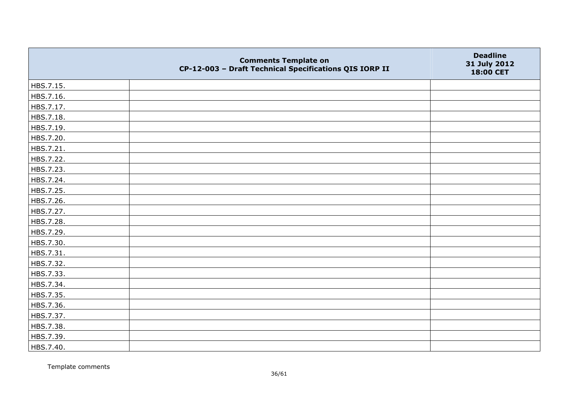|           | <b>Comments Template on</b><br>CP-12-003 - Draft Technical Specifications QIS IORP II | <b>Deadline</b><br>31 July 2012<br>18:00 CET |
|-----------|---------------------------------------------------------------------------------------|----------------------------------------------|
| HBS.7.15. |                                                                                       |                                              |
| HBS.7.16. |                                                                                       |                                              |
| HBS.7.17. |                                                                                       |                                              |
| HBS.7.18. |                                                                                       |                                              |
| HBS.7.19. |                                                                                       |                                              |
| HBS.7.20. |                                                                                       |                                              |
| HBS.7.21. |                                                                                       |                                              |
| HBS.7.22. |                                                                                       |                                              |
| HBS.7.23. |                                                                                       |                                              |
| HBS.7.24. |                                                                                       |                                              |
| HBS.7.25. |                                                                                       |                                              |
| HBS.7.26. |                                                                                       |                                              |
| HBS.7.27. |                                                                                       |                                              |
| HBS.7.28. |                                                                                       |                                              |
| HBS.7.29. |                                                                                       |                                              |
| HBS.7.30. |                                                                                       |                                              |
| HBS.7.31. |                                                                                       |                                              |
| HBS.7.32. |                                                                                       |                                              |
| HBS.7.33. |                                                                                       |                                              |
| HBS.7.34. |                                                                                       |                                              |
| HBS.7.35. |                                                                                       |                                              |
| HBS.7.36. |                                                                                       |                                              |
| HBS.7.37. |                                                                                       |                                              |
| HBS.7.38. |                                                                                       |                                              |
| HBS.7.39. |                                                                                       |                                              |
| HBS.7.40. |                                                                                       |                                              |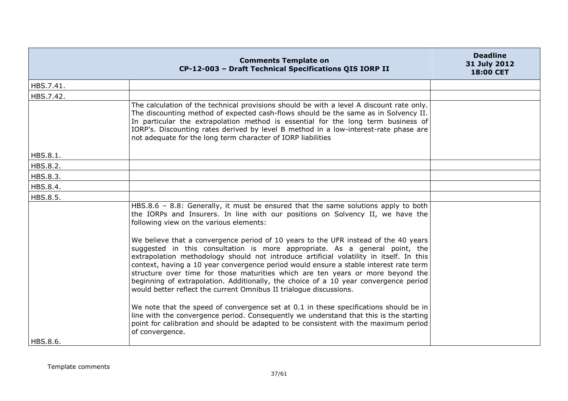|           | <b>Comments Template on</b><br>CP-12-003 - Draft Technical Specifications QIS IORP II                                                                                                                                                                                                                                                                                                                                                                                                                                                                                                                   | <b>Deadline</b><br>31 July 2012<br>18:00 CET |
|-----------|---------------------------------------------------------------------------------------------------------------------------------------------------------------------------------------------------------------------------------------------------------------------------------------------------------------------------------------------------------------------------------------------------------------------------------------------------------------------------------------------------------------------------------------------------------------------------------------------------------|----------------------------------------------|
| HBS.7.41. |                                                                                                                                                                                                                                                                                                                                                                                                                                                                                                                                                                                                         |                                              |
| HBS.7.42. |                                                                                                                                                                                                                                                                                                                                                                                                                                                                                                                                                                                                         |                                              |
|           | The calculation of the technical provisions should be with a level A discount rate only.<br>The discounting method of expected cash-flows should be the same as in Solvency II.<br>In particular the extrapolation method is essential for the long term business of<br>IORP's. Discounting rates derived by level B method in a low-interest-rate phase are<br>not adequate for the long term character of IORP liabilities                                                                                                                                                                            |                                              |
| HBS.8.1.  |                                                                                                                                                                                                                                                                                                                                                                                                                                                                                                                                                                                                         |                                              |
| HBS.8.2.  |                                                                                                                                                                                                                                                                                                                                                                                                                                                                                                                                                                                                         |                                              |
| HBS.8.3.  |                                                                                                                                                                                                                                                                                                                                                                                                                                                                                                                                                                                                         |                                              |
| HBS.8.4.  |                                                                                                                                                                                                                                                                                                                                                                                                                                                                                                                                                                                                         |                                              |
| HBS.8.5.  |                                                                                                                                                                                                                                                                                                                                                                                                                                                                                                                                                                                                         |                                              |
|           | HBS.8.6 - 8.8: Generally, it must be ensured that the same solutions apply to both<br>the IORPs and Insurers. In line with our positions on Solvency II, we have the<br>following view on the various elements:                                                                                                                                                                                                                                                                                                                                                                                         |                                              |
|           | We believe that a convergence period of 10 years to the UFR instead of the 40 years<br>suggested in this consultation is more appropriate. As a general point, the<br>extrapolation methodology should not introduce artificial volatility in itself. In this<br>context, having a 10 year convergence period would ensure a stable interest rate term<br>structure over time for those maturities which are ten years or more beyond the<br>beginning of extrapolation. Additionally, the choice of a 10 year convergence period<br>would better reflect the current Omnibus II trialogue discussions. |                                              |
| HBS.8.6.  | We note that the speed of convergence set at 0.1 in these specifications should be in<br>line with the convergence period. Consequently we understand that this is the starting<br>point for calibration and should be adapted to be consistent with the maximum period<br>of convergence.                                                                                                                                                                                                                                                                                                              |                                              |
|           |                                                                                                                                                                                                                                                                                                                                                                                                                                                                                                                                                                                                         |                                              |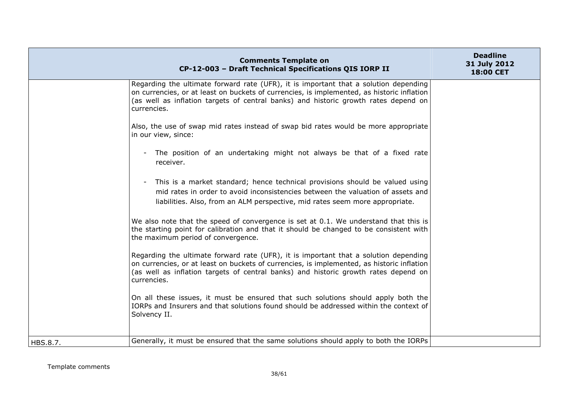|          | <b>Comments Template on</b><br>CP-12-003 - Draft Technical Specifications QIS IORP II                                                                                                                                                                                                    | <b>Deadline</b><br>31 July 2012<br>18:00 CET |
|----------|------------------------------------------------------------------------------------------------------------------------------------------------------------------------------------------------------------------------------------------------------------------------------------------|----------------------------------------------|
|          | Regarding the ultimate forward rate (UFR), it is important that a solution depending<br>on currencies, or at least on buckets of currencies, is implemented, as historic inflation<br>(as well as inflation targets of central banks) and historic growth rates depend on<br>currencies. |                                              |
|          | Also, the use of swap mid rates instead of swap bid rates would be more appropriate<br>in our view, since:                                                                                                                                                                               |                                              |
|          | The position of an undertaking might not always be that of a fixed rate<br>$\sim$<br>receiver.                                                                                                                                                                                           |                                              |
|          | This is a market standard; hence technical provisions should be valued using<br>$\overline{\phantom{a}}$<br>mid rates in order to avoid inconsistencies between the valuation of assets and<br>liabilities. Also, from an ALM perspective, mid rates seem more appropriate.              |                                              |
|          | We also note that the speed of convergence is set at 0.1. We understand that this is<br>the starting point for calibration and that it should be changed to be consistent with<br>the maximum period of convergence.                                                                     |                                              |
|          | Regarding the ultimate forward rate (UFR), it is important that a solution depending<br>on currencies, or at least on buckets of currencies, is implemented, as historic inflation<br>(as well as inflation targets of central banks) and historic growth rates depend on<br>currencies. |                                              |
|          | On all these issues, it must be ensured that such solutions should apply both the<br>IORPs and Insurers and that solutions found should be addressed within the context of<br>Solvency II.                                                                                               |                                              |
| HBS.8.7. | Generally, it must be ensured that the same solutions should apply to both the IORPs                                                                                                                                                                                                     |                                              |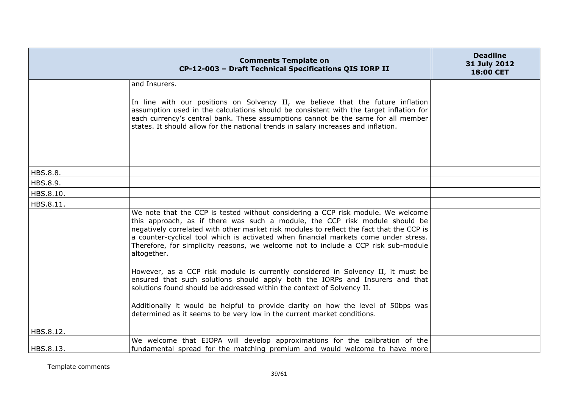|           | <b>Comments Template on</b><br>CP-12-003 - Draft Technical Specifications QIS IORP II                                                                                                                                                                                                                                                                                                                                                                                                                                                                                                                                                                                                                                                                                                                                                                                   | <b>Deadline</b><br>31 July 2012<br>18:00 CET |
|-----------|-------------------------------------------------------------------------------------------------------------------------------------------------------------------------------------------------------------------------------------------------------------------------------------------------------------------------------------------------------------------------------------------------------------------------------------------------------------------------------------------------------------------------------------------------------------------------------------------------------------------------------------------------------------------------------------------------------------------------------------------------------------------------------------------------------------------------------------------------------------------------|----------------------------------------------|
|           | and Insurers.                                                                                                                                                                                                                                                                                                                                                                                                                                                                                                                                                                                                                                                                                                                                                                                                                                                           |                                              |
|           | In line with our positions on Solvency II, we believe that the future inflation<br>assumption used in the calculations should be consistent with the target inflation for<br>each currency's central bank. These assumptions cannot be the same for all member<br>states. It should allow for the national trends in salary increases and inflation.                                                                                                                                                                                                                                                                                                                                                                                                                                                                                                                    |                                              |
|           |                                                                                                                                                                                                                                                                                                                                                                                                                                                                                                                                                                                                                                                                                                                                                                                                                                                                         |                                              |
| HBS.8.8.  |                                                                                                                                                                                                                                                                                                                                                                                                                                                                                                                                                                                                                                                                                                                                                                                                                                                                         |                                              |
| HBS.8.9.  |                                                                                                                                                                                                                                                                                                                                                                                                                                                                                                                                                                                                                                                                                                                                                                                                                                                                         |                                              |
| HBS.8.10. |                                                                                                                                                                                                                                                                                                                                                                                                                                                                                                                                                                                                                                                                                                                                                                                                                                                                         |                                              |
| HBS.8.11. | We note that the CCP is tested without considering a CCP risk module. We welcome<br>this approach, as if there was such a module, the CCP risk module should be<br>negatively correlated with other market risk modules to reflect the fact that the CCP is<br>a counter-cyclical tool which is activated when financial markets come under stress.<br>Therefore, for simplicity reasons, we welcome not to include a CCP risk sub-module<br>altogether.<br>However, as a CCP risk module is currently considered in Solvency II, it must be<br>ensured that such solutions should apply both the IORPs and Insurers and that<br>solutions found should be addressed within the context of Solvency II.<br>Additionally it would be helpful to provide clarity on how the level of 50bps was<br>determined as it seems to be very low in the current market conditions. |                                              |
| HBS.8.12. |                                                                                                                                                                                                                                                                                                                                                                                                                                                                                                                                                                                                                                                                                                                                                                                                                                                                         |                                              |
| HBS.8.13. | We welcome that EIOPA will develop approximations for the calibration of the<br>fundamental spread for the matching premium and would welcome to have more                                                                                                                                                                                                                                                                                                                                                                                                                                                                                                                                                                                                                                                                                                              |                                              |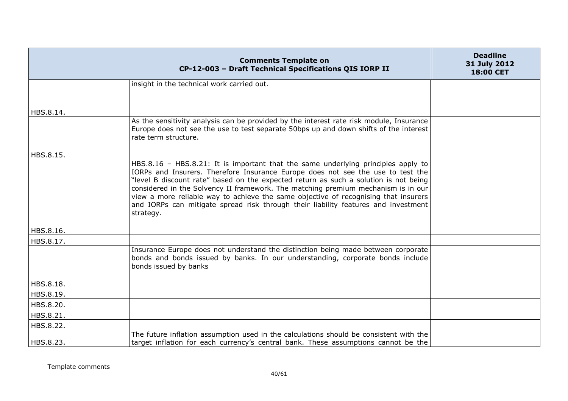|           | <b>Comments Template on</b><br>CP-12-003 - Draft Technical Specifications QIS IORP II                                                                                                                                                                                                                                                                                                                                                                                                                                                       | <b>Deadline</b><br>31 July 2012<br>18:00 CET |
|-----------|---------------------------------------------------------------------------------------------------------------------------------------------------------------------------------------------------------------------------------------------------------------------------------------------------------------------------------------------------------------------------------------------------------------------------------------------------------------------------------------------------------------------------------------------|----------------------------------------------|
|           | insight in the technical work carried out.                                                                                                                                                                                                                                                                                                                                                                                                                                                                                                  |                                              |
|           |                                                                                                                                                                                                                                                                                                                                                                                                                                                                                                                                             |                                              |
| HBS.8.14. |                                                                                                                                                                                                                                                                                                                                                                                                                                                                                                                                             |                                              |
|           | As the sensitivity analysis can be provided by the interest rate risk module, Insurance<br>Europe does not see the use to test separate 50bps up and down shifts of the interest<br>rate term structure.                                                                                                                                                                                                                                                                                                                                    |                                              |
| HBS.8.15. |                                                                                                                                                                                                                                                                                                                                                                                                                                                                                                                                             |                                              |
|           | HBS.8.16 - HBS.8.21: It is important that the same underlying principles apply to<br>IORPs and Insurers. Therefore Insurance Europe does not see the use to test the<br>"level B discount rate" based on the expected return as such a solution is not being<br>considered in the Solvency II framework. The matching premium mechanism is in our<br>view a more reliable way to achieve the same objective of recognising that insurers<br>and IORPs can mitigate spread risk through their liability features and investment<br>strategy. |                                              |
| HBS.8.16. |                                                                                                                                                                                                                                                                                                                                                                                                                                                                                                                                             |                                              |
| HBS.8.17. |                                                                                                                                                                                                                                                                                                                                                                                                                                                                                                                                             |                                              |
|           | Insurance Europe does not understand the distinction being made between corporate<br>bonds and bonds issued by banks. In our understanding, corporate bonds include<br>bonds issued by banks                                                                                                                                                                                                                                                                                                                                                |                                              |
| HBS.8.18. |                                                                                                                                                                                                                                                                                                                                                                                                                                                                                                                                             |                                              |
| HBS.8.19. |                                                                                                                                                                                                                                                                                                                                                                                                                                                                                                                                             |                                              |
| HBS.8.20. |                                                                                                                                                                                                                                                                                                                                                                                                                                                                                                                                             |                                              |
| HBS.8.21. |                                                                                                                                                                                                                                                                                                                                                                                                                                                                                                                                             |                                              |
| HBS.8.22. |                                                                                                                                                                                                                                                                                                                                                                                                                                                                                                                                             |                                              |
| HBS.8.23. | The future inflation assumption used in the calculations should be consistent with the<br>target inflation for each currency's central bank. These assumptions cannot be the                                                                                                                                                                                                                                                                                                                                                                |                                              |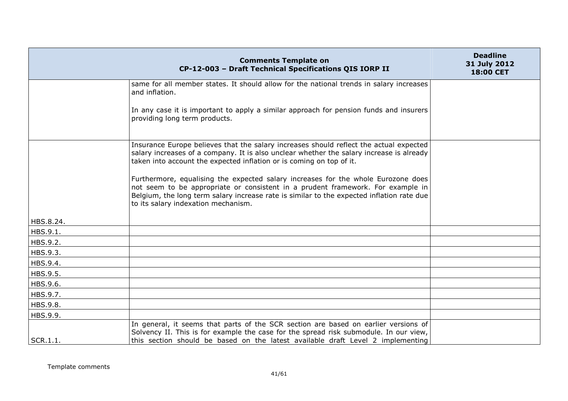|           | <b>Comments Template on</b><br>CP-12-003 - Draft Technical Specifications QIS IORP II                                                                                                                                                                                                                                                                                                                                                                                                                                                                                  | <b>Deadline</b><br>31 July 2012<br>18:00 CET |
|-----------|------------------------------------------------------------------------------------------------------------------------------------------------------------------------------------------------------------------------------------------------------------------------------------------------------------------------------------------------------------------------------------------------------------------------------------------------------------------------------------------------------------------------------------------------------------------------|----------------------------------------------|
|           | same for all member states. It should allow for the national trends in salary increases<br>and inflation.                                                                                                                                                                                                                                                                                                                                                                                                                                                              |                                              |
|           | In any case it is important to apply a similar approach for pension funds and insurers<br>providing long term products.                                                                                                                                                                                                                                                                                                                                                                                                                                                |                                              |
|           | Insurance Europe believes that the salary increases should reflect the actual expected<br>salary increases of a company. It is also unclear whether the salary increase is already<br>taken into account the expected inflation or is coming on top of it.<br>Furthermore, equalising the expected salary increases for the whole Eurozone does<br>not seem to be appropriate or consistent in a prudent framework. For example in<br>Belgium, the long term salary increase rate is similar to the expected inflation rate due<br>to its salary indexation mechanism. |                                              |
| HBS.8.24. |                                                                                                                                                                                                                                                                                                                                                                                                                                                                                                                                                                        |                                              |
| HBS.9.1.  |                                                                                                                                                                                                                                                                                                                                                                                                                                                                                                                                                                        |                                              |
| HBS.9.2.  |                                                                                                                                                                                                                                                                                                                                                                                                                                                                                                                                                                        |                                              |
| HBS.9.3.  |                                                                                                                                                                                                                                                                                                                                                                                                                                                                                                                                                                        |                                              |
| HBS.9.4.  |                                                                                                                                                                                                                                                                                                                                                                                                                                                                                                                                                                        |                                              |
| HBS.9.5.  |                                                                                                                                                                                                                                                                                                                                                                                                                                                                                                                                                                        |                                              |
| HBS.9.6.  |                                                                                                                                                                                                                                                                                                                                                                                                                                                                                                                                                                        |                                              |
| HBS.9.7.  |                                                                                                                                                                                                                                                                                                                                                                                                                                                                                                                                                                        |                                              |
| HBS.9.8.  |                                                                                                                                                                                                                                                                                                                                                                                                                                                                                                                                                                        |                                              |
| HBS.9.9.  |                                                                                                                                                                                                                                                                                                                                                                                                                                                                                                                                                                        |                                              |
| SCR.1.1.  | In general, it seems that parts of the SCR section are based on earlier versions of<br>Solvency II. This is for example the case for the spread risk submodule. In our view,<br>this section should be based on the latest available draft Level 2 implementing                                                                                                                                                                                                                                                                                                        |                                              |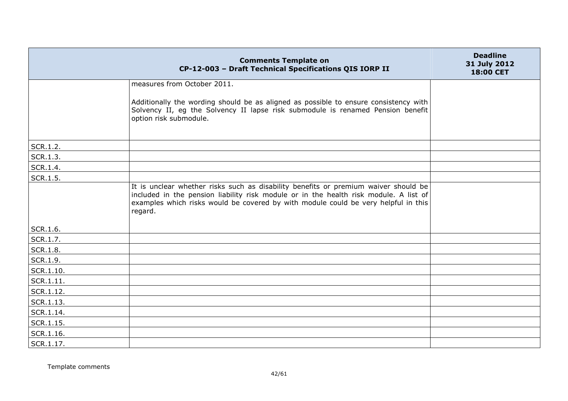|           | <b>Comments Template on</b><br>CP-12-003 - Draft Technical Specifications QIS IORP II                                                                                                                                                                                         | <b>Deadline</b><br>31 July 2012<br>18:00 CET |
|-----------|-------------------------------------------------------------------------------------------------------------------------------------------------------------------------------------------------------------------------------------------------------------------------------|----------------------------------------------|
|           | measures from October 2011.                                                                                                                                                                                                                                                   |                                              |
|           | Additionally the wording should be as aligned as possible to ensure consistency with<br>Solvency II, eg the Solvency II lapse risk submodule is renamed Pension benefit<br>option risk submodule.                                                                             |                                              |
| SCR.1.2.  |                                                                                                                                                                                                                                                                               |                                              |
| SCR.1.3.  |                                                                                                                                                                                                                                                                               |                                              |
| SCR.1.4.  |                                                                                                                                                                                                                                                                               |                                              |
| SCR.1.5.  |                                                                                                                                                                                                                                                                               |                                              |
|           | It is unclear whether risks such as disability benefits or premium waiver should be<br>included in the pension liability risk module or in the health risk module. A list of<br>examples which risks would be covered by with module could be very helpful in this<br>regard. |                                              |
| SCR.1.6.  |                                                                                                                                                                                                                                                                               |                                              |
| SCR.1.7.  |                                                                                                                                                                                                                                                                               |                                              |
| SCR.1.8.  |                                                                                                                                                                                                                                                                               |                                              |
| SCR.1.9.  |                                                                                                                                                                                                                                                                               |                                              |
| SCR.1.10. |                                                                                                                                                                                                                                                                               |                                              |
| SCR.1.11. |                                                                                                                                                                                                                                                                               |                                              |
| SCR.1.12. |                                                                                                                                                                                                                                                                               |                                              |
| SCR.1.13. |                                                                                                                                                                                                                                                                               |                                              |
| SCR.1.14. |                                                                                                                                                                                                                                                                               |                                              |
| SCR.1.15. |                                                                                                                                                                                                                                                                               |                                              |
| SCR.1.16. |                                                                                                                                                                                                                                                                               |                                              |
| SCR.1.17. |                                                                                                                                                                                                                                                                               |                                              |

Template comments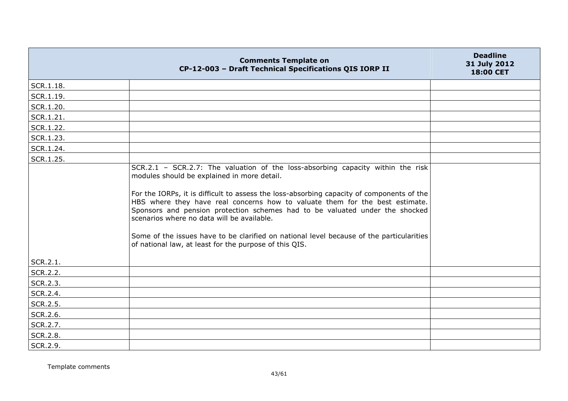|                      | <b>Comments Template on</b><br>CP-12-003 - Draft Technical Specifications QIS IORP II                                                                                                                                                                                                                                                                                                                                                                                                                                                                                                           | <b>Deadline</b><br>31 July 2012<br>18:00 CET |
|----------------------|-------------------------------------------------------------------------------------------------------------------------------------------------------------------------------------------------------------------------------------------------------------------------------------------------------------------------------------------------------------------------------------------------------------------------------------------------------------------------------------------------------------------------------------------------------------------------------------------------|----------------------------------------------|
| SCR.1.18.            |                                                                                                                                                                                                                                                                                                                                                                                                                                                                                                                                                                                                 |                                              |
| SCR.1.19.            |                                                                                                                                                                                                                                                                                                                                                                                                                                                                                                                                                                                                 |                                              |
| SCR.1.20.            |                                                                                                                                                                                                                                                                                                                                                                                                                                                                                                                                                                                                 |                                              |
| SCR.1.21.            |                                                                                                                                                                                                                                                                                                                                                                                                                                                                                                                                                                                                 |                                              |
| SCR.1.22.            |                                                                                                                                                                                                                                                                                                                                                                                                                                                                                                                                                                                                 |                                              |
| SCR.1.23.            |                                                                                                                                                                                                                                                                                                                                                                                                                                                                                                                                                                                                 |                                              |
| SCR.1.24.            |                                                                                                                                                                                                                                                                                                                                                                                                                                                                                                                                                                                                 |                                              |
| SCR.1.25.            |                                                                                                                                                                                                                                                                                                                                                                                                                                                                                                                                                                                                 |                                              |
|                      | SCR.2.1 - SCR.2.7: The valuation of the loss-absorbing capacity within the risk<br>modules should be explained in more detail.<br>For the IORPs, it is difficult to assess the loss-absorbing capacity of components of the<br>HBS where they have real concerns how to valuate them for the best estimate.<br>Sponsors and pension protection schemes had to be valuated under the shocked<br>scenarios where no data will be available.<br>Some of the issues have to be clarified on national level because of the particularities<br>of national law, at least for the purpose of this QIS. |                                              |
| SCR.2.1.             |                                                                                                                                                                                                                                                                                                                                                                                                                                                                                                                                                                                                 |                                              |
| SCR.2.2.<br>SCR.2.3. |                                                                                                                                                                                                                                                                                                                                                                                                                                                                                                                                                                                                 |                                              |
| SCR.2.4.             |                                                                                                                                                                                                                                                                                                                                                                                                                                                                                                                                                                                                 |                                              |
| SCR.2.5.             |                                                                                                                                                                                                                                                                                                                                                                                                                                                                                                                                                                                                 |                                              |
| SCR.2.6.             |                                                                                                                                                                                                                                                                                                                                                                                                                                                                                                                                                                                                 |                                              |
| SCR.2.7.             |                                                                                                                                                                                                                                                                                                                                                                                                                                                                                                                                                                                                 |                                              |
| SCR.2.8.             |                                                                                                                                                                                                                                                                                                                                                                                                                                                                                                                                                                                                 |                                              |
| SCR.2.9.             |                                                                                                                                                                                                                                                                                                                                                                                                                                                                                                                                                                                                 |                                              |

Template comments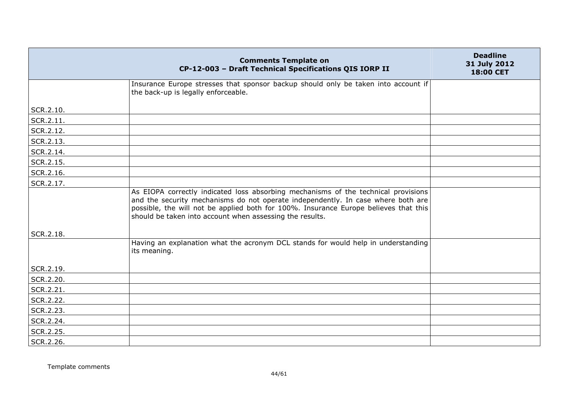|           | <b>Comments Template on</b><br>CP-12-003 - Draft Technical Specifications QIS IORP II                                                                                                                                                                                                                                      | <b>Deadline</b><br>31 July 2012<br>18:00 CET |
|-----------|----------------------------------------------------------------------------------------------------------------------------------------------------------------------------------------------------------------------------------------------------------------------------------------------------------------------------|----------------------------------------------|
|           | Insurance Europe stresses that sponsor backup should only be taken into account if<br>the back-up is legally enforceable.                                                                                                                                                                                                  |                                              |
| SCR.2.10. |                                                                                                                                                                                                                                                                                                                            |                                              |
| SCR.2.11. |                                                                                                                                                                                                                                                                                                                            |                                              |
| SCR.2.12. |                                                                                                                                                                                                                                                                                                                            |                                              |
| SCR.2.13. |                                                                                                                                                                                                                                                                                                                            |                                              |
| SCR.2.14. |                                                                                                                                                                                                                                                                                                                            |                                              |
| SCR.2.15. |                                                                                                                                                                                                                                                                                                                            |                                              |
| SCR.2.16. |                                                                                                                                                                                                                                                                                                                            |                                              |
| SCR.2.17. |                                                                                                                                                                                                                                                                                                                            |                                              |
|           | As EIOPA correctly indicated loss absorbing mechanisms of the technical provisions<br>and the security mechanisms do not operate independently. In case where both are<br>possible, the will not be applied both for 100%. Insurance Europe believes that this<br>should be taken into account when assessing the results. |                                              |
| SCR.2.18. | Having an explanation what the acronym DCL stands for would help in understanding                                                                                                                                                                                                                                          |                                              |
|           | its meaning.                                                                                                                                                                                                                                                                                                               |                                              |
| SCR.2.19. |                                                                                                                                                                                                                                                                                                                            |                                              |
| SCR.2.20. |                                                                                                                                                                                                                                                                                                                            |                                              |
| SCR.2.21. |                                                                                                                                                                                                                                                                                                                            |                                              |
| SCR.2.22. |                                                                                                                                                                                                                                                                                                                            |                                              |
| SCR.2.23. |                                                                                                                                                                                                                                                                                                                            |                                              |
| SCR.2.24. |                                                                                                                                                                                                                                                                                                                            |                                              |
| SCR.2.25. |                                                                                                                                                                                                                                                                                                                            |                                              |
| SCR.2.26. |                                                                                                                                                                                                                                                                                                                            |                                              |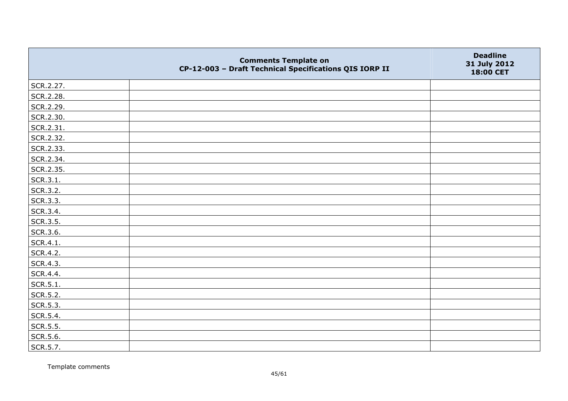|           | <b>Comments Template on</b><br>CP-12-003 - Draft Technical Specifications QIS IORP II | <b>Deadline</b><br>31 July 2012<br>18:00 CET |
|-----------|---------------------------------------------------------------------------------------|----------------------------------------------|
| SCR.2.27. |                                                                                       |                                              |
| SCR.2.28. |                                                                                       |                                              |
| SCR.2.29. |                                                                                       |                                              |
| SCR.2.30. |                                                                                       |                                              |
| SCR.2.31. |                                                                                       |                                              |
| SCR.2.32. |                                                                                       |                                              |
| SCR.2.33. |                                                                                       |                                              |
| SCR.2.34. |                                                                                       |                                              |
| SCR.2.35. |                                                                                       |                                              |
| SCR.3.1.  |                                                                                       |                                              |
| SCR.3.2.  |                                                                                       |                                              |
| SCR.3.3.  |                                                                                       |                                              |
| SCR.3.4.  |                                                                                       |                                              |
| SCR.3.5.  |                                                                                       |                                              |
| SCR.3.6.  |                                                                                       |                                              |
| SCR.4.1.  |                                                                                       |                                              |
| SCR.4.2.  |                                                                                       |                                              |
| SCR.4.3.  |                                                                                       |                                              |
| SCR.4.4.  |                                                                                       |                                              |
| SCR.5.1.  |                                                                                       |                                              |
| SCR.5.2.  |                                                                                       |                                              |
| SCR.5.3.  |                                                                                       |                                              |
| SCR.5.4.  |                                                                                       |                                              |
| SCR.5.5.  |                                                                                       |                                              |
| SCR.5.6.  |                                                                                       |                                              |
| SCR.5.7.  |                                                                                       |                                              |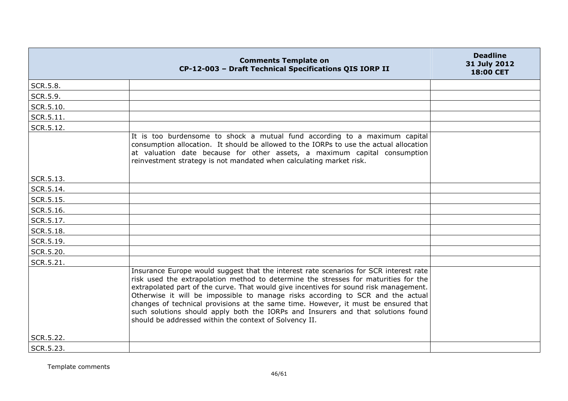|           | <b>Comments Template on</b><br>CP-12-003 - Draft Technical Specifications QIS IORP II                                                                                                                                                                                                                                                                                                                                                                                                                                                                                                        | <b>Deadline</b><br>31 July 2012<br>18:00 CET |
|-----------|----------------------------------------------------------------------------------------------------------------------------------------------------------------------------------------------------------------------------------------------------------------------------------------------------------------------------------------------------------------------------------------------------------------------------------------------------------------------------------------------------------------------------------------------------------------------------------------------|----------------------------------------------|
| SCR.5.8.  |                                                                                                                                                                                                                                                                                                                                                                                                                                                                                                                                                                                              |                                              |
| SCR.5.9.  |                                                                                                                                                                                                                                                                                                                                                                                                                                                                                                                                                                                              |                                              |
| SCR.5.10. |                                                                                                                                                                                                                                                                                                                                                                                                                                                                                                                                                                                              |                                              |
| SCR.5.11. |                                                                                                                                                                                                                                                                                                                                                                                                                                                                                                                                                                                              |                                              |
| SCR.5.12. |                                                                                                                                                                                                                                                                                                                                                                                                                                                                                                                                                                                              |                                              |
|           | It is too burdensome to shock a mutual fund according to a maximum capital<br>consumption allocation. It should be allowed to the IORPs to use the actual allocation<br>at valuation date because for other assets, a maximum capital consumption<br>reinvestment strategy is not mandated when calculating market risk.                                                                                                                                                                                                                                                                     |                                              |
| SCR.5.13. |                                                                                                                                                                                                                                                                                                                                                                                                                                                                                                                                                                                              |                                              |
| SCR.5.14. |                                                                                                                                                                                                                                                                                                                                                                                                                                                                                                                                                                                              |                                              |
| SCR.5.15. |                                                                                                                                                                                                                                                                                                                                                                                                                                                                                                                                                                                              |                                              |
| SCR.5.16. |                                                                                                                                                                                                                                                                                                                                                                                                                                                                                                                                                                                              |                                              |
| SCR.5.17. |                                                                                                                                                                                                                                                                                                                                                                                                                                                                                                                                                                                              |                                              |
| SCR.5.18. |                                                                                                                                                                                                                                                                                                                                                                                                                                                                                                                                                                                              |                                              |
| SCR.5.19. |                                                                                                                                                                                                                                                                                                                                                                                                                                                                                                                                                                                              |                                              |
| SCR.5.20. |                                                                                                                                                                                                                                                                                                                                                                                                                                                                                                                                                                                              |                                              |
| SCR.5.21. |                                                                                                                                                                                                                                                                                                                                                                                                                                                                                                                                                                                              |                                              |
|           | Insurance Europe would suggest that the interest rate scenarios for SCR interest rate<br>risk used the extrapolation method to determine the stresses for maturities for the<br>extrapolated part of the curve. That would give incentives for sound risk management.<br>Otherwise it will be impossible to manage risks according to SCR and the actual<br>changes of technical provisions at the same time. However, it must be ensured that<br>such solutions should apply both the IORPs and Insurers and that solutions found<br>should be addressed within the context of Solvency II. |                                              |
| SCR.5.22. |                                                                                                                                                                                                                                                                                                                                                                                                                                                                                                                                                                                              |                                              |
| SCR.5.23. |                                                                                                                                                                                                                                                                                                                                                                                                                                                                                                                                                                                              |                                              |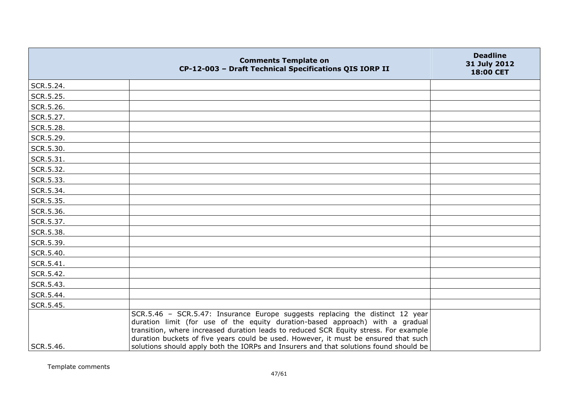|           | <b>Comments Template on</b><br>CP-12-003 - Draft Technical Specifications QIS IORP II                                                                                                                                                                                                                                                         | <b>Deadline</b><br>31 July 2012<br>18:00 CET |
|-----------|-----------------------------------------------------------------------------------------------------------------------------------------------------------------------------------------------------------------------------------------------------------------------------------------------------------------------------------------------|----------------------------------------------|
| SCR.5.24. |                                                                                                                                                                                                                                                                                                                                               |                                              |
| SCR.5.25. |                                                                                                                                                                                                                                                                                                                                               |                                              |
| SCR.5.26. |                                                                                                                                                                                                                                                                                                                                               |                                              |
| SCR.5.27. |                                                                                                                                                                                                                                                                                                                                               |                                              |
| SCR.5.28. |                                                                                                                                                                                                                                                                                                                                               |                                              |
| SCR.5.29. |                                                                                                                                                                                                                                                                                                                                               |                                              |
| SCR.5.30. |                                                                                                                                                                                                                                                                                                                                               |                                              |
| SCR.5.31. |                                                                                                                                                                                                                                                                                                                                               |                                              |
| SCR.5.32. |                                                                                                                                                                                                                                                                                                                                               |                                              |
| SCR.5.33. |                                                                                                                                                                                                                                                                                                                                               |                                              |
| SCR.5.34. |                                                                                                                                                                                                                                                                                                                                               |                                              |
| SCR.5.35. |                                                                                                                                                                                                                                                                                                                                               |                                              |
| SCR.5.36. |                                                                                                                                                                                                                                                                                                                                               |                                              |
| SCR.5.37. |                                                                                                                                                                                                                                                                                                                                               |                                              |
| SCR.5.38. |                                                                                                                                                                                                                                                                                                                                               |                                              |
| SCR.5.39. |                                                                                                                                                                                                                                                                                                                                               |                                              |
| SCR.5.40. |                                                                                                                                                                                                                                                                                                                                               |                                              |
| SCR.5.41. |                                                                                                                                                                                                                                                                                                                                               |                                              |
| SCR.5.42. |                                                                                                                                                                                                                                                                                                                                               |                                              |
| SCR.5.43. |                                                                                                                                                                                                                                                                                                                                               |                                              |
| SCR.5.44. |                                                                                                                                                                                                                                                                                                                                               |                                              |
| SCR.5.45. |                                                                                                                                                                                                                                                                                                                                               |                                              |
|           | SCR.5.46 - SCR.5.47: Insurance Europe suggests replacing the distinct 12 year<br>duration limit (for use of the equity duration-based approach) with a gradual<br>transition, where increased duration leads to reduced SCR Equity stress. For example<br>duration buckets of five years could be used. However, it must be ensured that such |                                              |
| SCR.5.46. | solutions should apply both the IORPs and Insurers and that solutions found should be                                                                                                                                                                                                                                                         |                                              |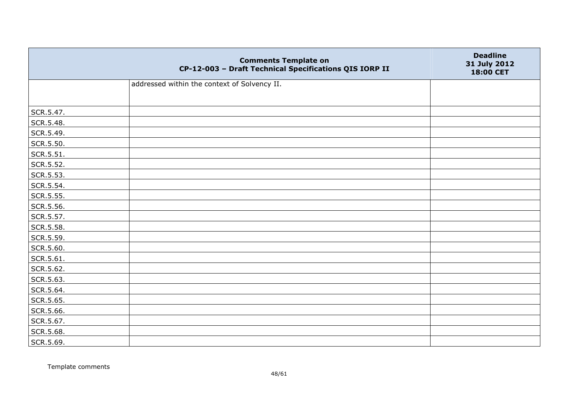|           | <b>Comments Template on</b><br>CP-12-003 - Draft Technical Specifications QIS IORP II | <b>Deadline</b><br>31 July 2012<br>18:00 CET |
|-----------|---------------------------------------------------------------------------------------|----------------------------------------------|
|           | addressed within the context of Solvency II.                                          |                                              |
|           |                                                                                       |                                              |
| SCR.5.47. |                                                                                       |                                              |
| SCR.5.48. |                                                                                       |                                              |
| SCR.5.49. |                                                                                       |                                              |
| SCR.5.50. |                                                                                       |                                              |
| SCR.5.51. |                                                                                       |                                              |
| SCR.5.52. |                                                                                       |                                              |
| SCR.5.53. |                                                                                       |                                              |
| SCR.5.54. |                                                                                       |                                              |
| SCR.5.55. |                                                                                       |                                              |
| SCR.5.56. |                                                                                       |                                              |
| SCR.5.57. |                                                                                       |                                              |
| SCR.5.58. |                                                                                       |                                              |
| SCR.5.59. |                                                                                       |                                              |
| SCR.5.60. |                                                                                       |                                              |
| SCR.5.61. |                                                                                       |                                              |
| SCR.5.62. |                                                                                       |                                              |
| SCR.5.63. |                                                                                       |                                              |
| SCR.5.64. |                                                                                       |                                              |
| SCR.5.65. |                                                                                       |                                              |
| SCR.5.66. |                                                                                       |                                              |
| SCR.5.67. |                                                                                       |                                              |
| SCR.5.68. |                                                                                       |                                              |
| SCR.5.69. |                                                                                       |                                              |

Template comments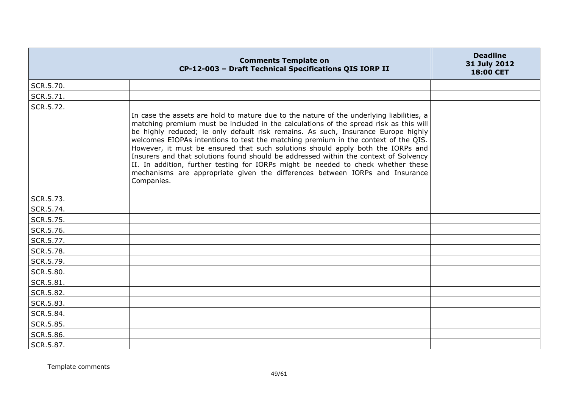|           | <b>Comments Template on</b><br>CP-12-003 - Draft Technical Specifications QIS IORP II                                                                                                                                                                                                                                                                                                                                                                                                                                                                                                                                                                                                                                      | <b>Deadline</b><br>31 July 2012<br>18:00 CET |
|-----------|----------------------------------------------------------------------------------------------------------------------------------------------------------------------------------------------------------------------------------------------------------------------------------------------------------------------------------------------------------------------------------------------------------------------------------------------------------------------------------------------------------------------------------------------------------------------------------------------------------------------------------------------------------------------------------------------------------------------------|----------------------------------------------|
| SCR.5.70. |                                                                                                                                                                                                                                                                                                                                                                                                                                                                                                                                                                                                                                                                                                                            |                                              |
| SCR.5.71. |                                                                                                                                                                                                                                                                                                                                                                                                                                                                                                                                                                                                                                                                                                                            |                                              |
| SCR.5.72. |                                                                                                                                                                                                                                                                                                                                                                                                                                                                                                                                                                                                                                                                                                                            |                                              |
|           | In case the assets are hold to mature due to the nature of the underlying liabilities, a<br>matching premium must be included in the calculations of the spread risk as this will<br>be highly reduced; ie only default risk remains. As such, Insurance Europe highly<br>welcomes EIOPAs intentions to test the matching premium in the context of the QIS.<br>However, it must be ensured that such solutions should apply both the IORPs and<br>Insurers and that solutions found should be addressed within the context of Solvency<br>II. In addition, further testing for IORPs might be needed to check whether these<br>mechanisms are appropriate given the differences between IORPs and Insurance<br>Companies. |                                              |
| SCR.5.73. |                                                                                                                                                                                                                                                                                                                                                                                                                                                                                                                                                                                                                                                                                                                            |                                              |
| SCR.5.74. |                                                                                                                                                                                                                                                                                                                                                                                                                                                                                                                                                                                                                                                                                                                            |                                              |
| SCR.5.75. |                                                                                                                                                                                                                                                                                                                                                                                                                                                                                                                                                                                                                                                                                                                            |                                              |
| SCR.5.76. |                                                                                                                                                                                                                                                                                                                                                                                                                                                                                                                                                                                                                                                                                                                            |                                              |
| SCR.5.77. |                                                                                                                                                                                                                                                                                                                                                                                                                                                                                                                                                                                                                                                                                                                            |                                              |
| SCR.5.78. |                                                                                                                                                                                                                                                                                                                                                                                                                                                                                                                                                                                                                                                                                                                            |                                              |
| SCR.5.79. |                                                                                                                                                                                                                                                                                                                                                                                                                                                                                                                                                                                                                                                                                                                            |                                              |
| SCR.5.80. |                                                                                                                                                                                                                                                                                                                                                                                                                                                                                                                                                                                                                                                                                                                            |                                              |
| SCR.5.81. |                                                                                                                                                                                                                                                                                                                                                                                                                                                                                                                                                                                                                                                                                                                            |                                              |
| SCR.5.82. |                                                                                                                                                                                                                                                                                                                                                                                                                                                                                                                                                                                                                                                                                                                            |                                              |
| SCR.5.83. |                                                                                                                                                                                                                                                                                                                                                                                                                                                                                                                                                                                                                                                                                                                            |                                              |
| SCR.5.84. |                                                                                                                                                                                                                                                                                                                                                                                                                                                                                                                                                                                                                                                                                                                            |                                              |
| SCR.5.85. |                                                                                                                                                                                                                                                                                                                                                                                                                                                                                                                                                                                                                                                                                                                            |                                              |
| SCR.5.86. |                                                                                                                                                                                                                                                                                                                                                                                                                                                                                                                                                                                                                                                                                                                            |                                              |
| SCR.5.87. |                                                                                                                                                                                                                                                                                                                                                                                                                                                                                                                                                                                                                                                                                                                            |                                              |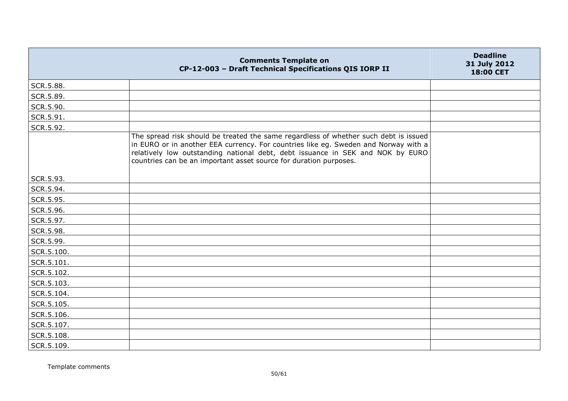|            | <b>Comments Template on</b><br>CP-12-003 - Draft Technical Specifications QIS IORP II                                                                                                                                                                                                                                              | <b>Deadline</b><br>31 July 2012<br>18:00 CET |
|------------|------------------------------------------------------------------------------------------------------------------------------------------------------------------------------------------------------------------------------------------------------------------------------------------------------------------------------------|----------------------------------------------|
| SCR.5.88.  |                                                                                                                                                                                                                                                                                                                                    |                                              |
| SCR.5.89.  |                                                                                                                                                                                                                                                                                                                                    |                                              |
| SCR.5.90.  |                                                                                                                                                                                                                                                                                                                                    |                                              |
| SCR.5.91.  |                                                                                                                                                                                                                                                                                                                                    |                                              |
| SCR.5.92.  |                                                                                                                                                                                                                                                                                                                                    |                                              |
|            | The spread risk should be treated the same regardless of whether such debt is issued<br>in EURO or in another EEA currency. For countries like eg. Sweden and Norway with a<br>relatively low outstanding national debt, debt issuance in SEK and NOK by EURO<br>countries can be an important asset source for duration purposes. |                                              |
| SCR.5.93.  |                                                                                                                                                                                                                                                                                                                                    |                                              |
| SCR.5.94.  |                                                                                                                                                                                                                                                                                                                                    |                                              |
| SCR.5.95.  |                                                                                                                                                                                                                                                                                                                                    |                                              |
| SCR.5.96.  |                                                                                                                                                                                                                                                                                                                                    |                                              |
| SCR.5.97.  |                                                                                                                                                                                                                                                                                                                                    |                                              |
| SCR.5.98.  |                                                                                                                                                                                                                                                                                                                                    |                                              |
| SCR.5.99.  |                                                                                                                                                                                                                                                                                                                                    |                                              |
| SCR.5.100. |                                                                                                                                                                                                                                                                                                                                    |                                              |
| SCR.5.101. |                                                                                                                                                                                                                                                                                                                                    |                                              |
| SCR.5.102. |                                                                                                                                                                                                                                                                                                                                    |                                              |
| SCR.5.103. |                                                                                                                                                                                                                                                                                                                                    |                                              |
| SCR.5.104. |                                                                                                                                                                                                                                                                                                                                    |                                              |
| SCR.5.105. |                                                                                                                                                                                                                                                                                                                                    |                                              |
| SCR.5.106. |                                                                                                                                                                                                                                                                                                                                    |                                              |
| SCR.5.107. |                                                                                                                                                                                                                                                                                                                                    |                                              |
| SCR.5.108. |                                                                                                                                                                                                                                                                                                                                    |                                              |
| SCR.5.109. |                                                                                                                                                                                                                                                                                                                                    |                                              |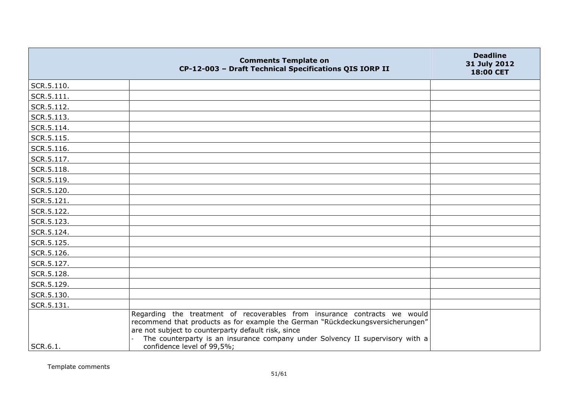|            | <b>Comments Template on</b><br>CP-12-003 - Draft Technical Specifications QIS IORP II                                                                                                                                                                                                               | <b>Deadline</b><br>31 July 2012<br>18:00 CET |
|------------|-----------------------------------------------------------------------------------------------------------------------------------------------------------------------------------------------------------------------------------------------------------------------------------------------------|----------------------------------------------|
| SCR.5.110. |                                                                                                                                                                                                                                                                                                     |                                              |
| SCR.5.111. |                                                                                                                                                                                                                                                                                                     |                                              |
| SCR.5.112. |                                                                                                                                                                                                                                                                                                     |                                              |
| SCR.5.113. |                                                                                                                                                                                                                                                                                                     |                                              |
| SCR.5.114. |                                                                                                                                                                                                                                                                                                     |                                              |
| SCR.5.115. |                                                                                                                                                                                                                                                                                                     |                                              |
| SCR.5.116. |                                                                                                                                                                                                                                                                                                     |                                              |
| SCR.5.117. |                                                                                                                                                                                                                                                                                                     |                                              |
| SCR.5.118. |                                                                                                                                                                                                                                                                                                     |                                              |
| SCR.5.119. |                                                                                                                                                                                                                                                                                                     |                                              |
| SCR.5.120. |                                                                                                                                                                                                                                                                                                     |                                              |
| SCR.5.121. |                                                                                                                                                                                                                                                                                                     |                                              |
| SCR.5.122. |                                                                                                                                                                                                                                                                                                     |                                              |
| SCR.5.123. |                                                                                                                                                                                                                                                                                                     |                                              |
| SCR.5.124. |                                                                                                                                                                                                                                                                                                     |                                              |
| SCR.5.125. |                                                                                                                                                                                                                                                                                                     |                                              |
| SCR.5.126. |                                                                                                                                                                                                                                                                                                     |                                              |
| SCR.5.127. |                                                                                                                                                                                                                                                                                                     |                                              |
| SCR.5.128. |                                                                                                                                                                                                                                                                                                     |                                              |
| SCR.5.129. |                                                                                                                                                                                                                                                                                                     |                                              |
| SCR.5.130. |                                                                                                                                                                                                                                                                                                     |                                              |
| SCR.5.131. |                                                                                                                                                                                                                                                                                                     |                                              |
|            | Regarding the treatment of recoverables from insurance contracts we would<br>recommend that products as for example the German "Rückdeckungsversicherungen"<br>are not subject to counterparty default risk, since<br>The counterparty is an insurance company under Solvency II supervisory with a |                                              |
| SCR.6.1.   | confidence level of 99,5%;                                                                                                                                                                                                                                                                          |                                              |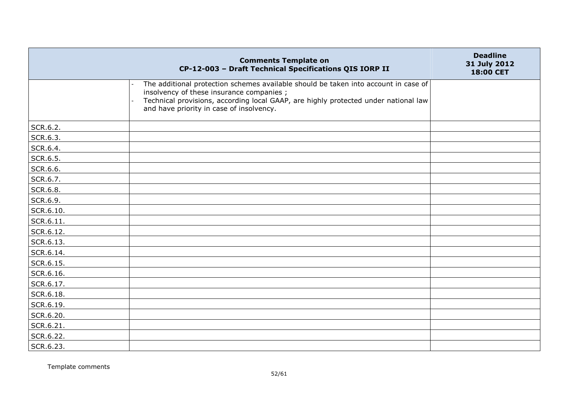|           | <b>Comments Template on</b><br>CP-12-003 - Draft Technical Specifications QIS IORP II                                                                                                                                                                              | <b>Deadline</b><br>31 July 2012<br>18:00 CET |
|-----------|--------------------------------------------------------------------------------------------------------------------------------------------------------------------------------------------------------------------------------------------------------------------|----------------------------------------------|
|           | The additional protection schemes available should be taken into account in case of<br>insolvency of these insurance companies;<br>Technical provisions, according local GAAP, are highly protected under national law<br>and have priority in case of insolvency. |                                              |
| SCR.6.2.  |                                                                                                                                                                                                                                                                    |                                              |
| SCR.6.3.  |                                                                                                                                                                                                                                                                    |                                              |
| SCR.6.4.  |                                                                                                                                                                                                                                                                    |                                              |
| SCR.6.5.  |                                                                                                                                                                                                                                                                    |                                              |
| SCR.6.6.  |                                                                                                                                                                                                                                                                    |                                              |
| SCR.6.7.  |                                                                                                                                                                                                                                                                    |                                              |
| SCR.6.8.  |                                                                                                                                                                                                                                                                    |                                              |
| SCR.6.9.  |                                                                                                                                                                                                                                                                    |                                              |
| SCR.6.10. |                                                                                                                                                                                                                                                                    |                                              |
| SCR.6.11. |                                                                                                                                                                                                                                                                    |                                              |
| SCR.6.12. |                                                                                                                                                                                                                                                                    |                                              |
| SCR.6.13. |                                                                                                                                                                                                                                                                    |                                              |
| SCR.6.14. |                                                                                                                                                                                                                                                                    |                                              |
| SCR.6.15. |                                                                                                                                                                                                                                                                    |                                              |
| SCR.6.16. |                                                                                                                                                                                                                                                                    |                                              |
| SCR.6.17. |                                                                                                                                                                                                                                                                    |                                              |
| SCR.6.18. |                                                                                                                                                                                                                                                                    |                                              |
| SCR.6.19. |                                                                                                                                                                                                                                                                    |                                              |
| SCR.6.20. |                                                                                                                                                                                                                                                                    |                                              |
| SCR.6.21. |                                                                                                                                                                                                                                                                    |                                              |
| SCR.6.22. |                                                                                                                                                                                                                                                                    |                                              |
| SCR.6.23. |                                                                                                                                                                                                                                                                    |                                              |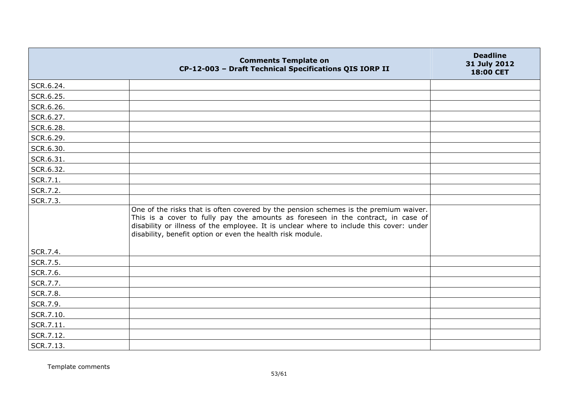|           | <b>Comments Template on</b><br>CP-12-003 - Draft Technical Specifications QIS IORP II                                                                                                                                                                                                                                             | <b>Deadline</b><br>31 July 2012<br>18:00 CET |
|-----------|-----------------------------------------------------------------------------------------------------------------------------------------------------------------------------------------------------------------------------------------------------------------------------------------------------------------------------------|----------------------------------------------|
| SCR.6.24. |                                                                                                                                                                                                                                                                                                                                   |                                              |
| SCR.6.25. |                                                                                                                                                                                                                                                                                                                                   |                                              |
| SCR.6.26. |                                                                                                                                                                                                                                                                                                                                   |                                              |
| SCR.6.27. |                                                                                                                                                                                                                                                                                                                                   |                                              |
| SCR.6.28. |                                                                                                                                                                                                                                                                                                                                   |                                              |
| SCR.6.29. |                                                                                                                                                                                                                                                                                                                                   |                                              |
| SCR.6.30. |                                                                                                                                                                                                                                                                                                                                   |                                              |
| SCR.6.31. |                                                                                                                                                                                                                                                                                                                                   |                                              |
| SCR.6.32. |                                                                                                                                                                                                                                                                                                                                   |                                              |
| SCR.7.1.  |                                                                                                                                                                                                                                                                                                                                   |                                              |
| SCR.7.2.  |                                                                                                                                                                                                                                                                                                                                   |                                              |
| SCR.7.3.  |                                                                                                                                                                                                                                                                                                                                   |                                              |
|           | One of the risks that is often covered by the pension schemes is the premium waiver.<br>This is a cover to fully pay the amounts as foreseen in the contract, in case of<br>disability or illness of the employee. It is unclear where to include this cover: under<br>disability, benefit option or even the health risk module. |                                              |
| SCR.7.4.  |                                                                                                                                                                                                                                                                                                                                   |                                              |
| SCR.7.5.  |                                                                                                                                                                                                                                                                                                                                   |                                              |
| SCR.7.6.  |                                                                                                                                                                                                                                                                                                                                   |                                              |
| SCR.7.7.  |                                                                                                                                                                                                                                                                                                                                   |                                              |
| SCR.7.8.  |                                                                                                                                                                                                                                                                                                                                   |                                              |
| SCR.7.9.  |                                                                                                                                                                                                                                                                                                                                   |                                              |
| SCR.7.10. |                                                                                                                                                                                                                                                                                                                                   |                                              |
| SCR.7.11. |                                                                                                                                                                                                                                                                                                                                   |                                              |
| SCR.7.12. |                                                                                                                                                                                                                                                                                                                                   |                                              |
| SCR.7.13. |                                                                                                                                                                                                                                                                                                                                   |                                              |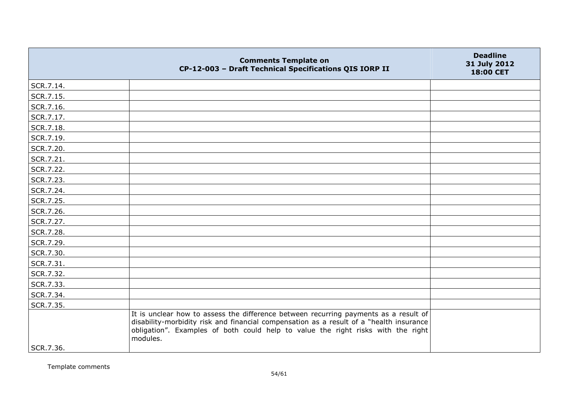| SCR.7.14.<br>SCR.7.15.<br>SCR.7.16.<br>SCR.7.17.<br>SCR.7.18.<br>SCR.7.19.<br>SCR.7.20.<br>SCR.7.21.<br>SCR.7.22.<br>SCR.7.23.<br>SCR.7.24.<br>SCR.7.25.<br>SCR.7.26.<br>SCR.7.27.<br>SCR.7.28.<br>SCR.7.29.<br>SCR.7.30.<br>SCR.7.31.                                                       | 31 July 2012 |
|----------------------------------------------------------------------------------------------------------------------------------------------------------------------------------------------------------------------------------------------------------------------------------------------|--------------|
|                                                                                                                                                                                                                                                                                              |              |
|                                                                                                                                                                                                                                                                                              |              |
|                                                                                                                                                                                                                                                                                              |              |
|                                                                                                                                                                                                                                                                                              |              |
|                                                                                                                                                                                                                                                                                              |              |
|                                                                                                                                                                                                                                                                                              |              |
|                                                                                                                                                                                                                                                                                              |              |
|                                                                                                                                                                                                                                                                                              |              |
|                                                                                                                                                                                                                                                                                              |              |
|                                                                                                                                                                                                                                                                                              |              |
|                                                                                                                                                                                                                                                                                              |              |
|                                                                                                                                                                                                                                                                                              |              |
|                                                                                                                                                                                                                                                                                              |              |
|                                                                                                                                                                                                                                                                                              |              |
|                                                                                                                                                                                                                                                                                              |              |
|                                                                                                                                                                                                                                                                                              |              |
|                                                                                                                                                                                                                                                                                              |              |
|                                                                                                                                                                                                                                                                                              |              |
| SCR.7.32.                                                                                                                                                                                                                                                                                    |              |
| SCR.7.33.                                                                                                                                                                                                                                                                                    |              |
| SCR.7.34.                                                                                                                                                                                                                                                                                    |              |
| SCR.7.35.                                                                                                                                                                                                                                                                                    |              |
| It is unclear how to assess the difference between recurring payments as a result of<br>disability-morbidity risk and financial compensation as a result of a "health insurance<br>obligation". Examples of both could help to value the right risks with the right<br>modules.<br>SCR.7.36. |              |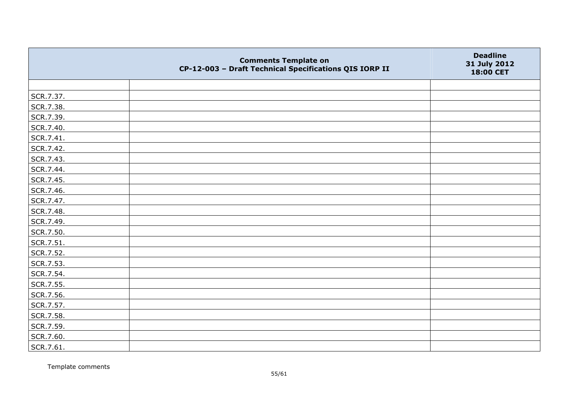|           | <b>Comments Template on</b><br>CP-12-003 - Draft Technical Specifications QIS IORP II | <b>Deadline</b><br>31 July 2012<br>18:00 CET |
|-----------|---------------------------------------------------------------------------------------|----------------------------------------------|
|           |                                                                                       |                                              |
| SCR.7.37. |                                                                                       |                                              |
| SCR.7.38. |                                                                                       |                                              |
| SCR.7.39. |                                                                                       |                                              |
| SCR.7.40. |                                                                                       |                                              |
| SCR.7.41. |                                                                                       |                                              |
| SCR.7.42. |                                                                                       |                                              |
| SCR.7.43. |                                                                                       |                                              |
| SCR.7.44. |                                                                                       |                                              |
| SCR.7.45. |                                                                                       |                                              |
| SCR.7.46. |                                                                                       |                                              |
| SCR.7.47. |                                                                                       |                                              |
| SCR.7.48. |                                                                                       |                                              |
| SCR.7.49. |                                                                                       |                                              |
| SCR.7.50. |                                                                                       |                                              |
| SCR.7.51. |                                                                                       |                                              |
| SCR.7.52. |                                                                                       |                                              |
| SCR.7.53. |                                                                                       |                                              |
| SCR.7.54. |                                                                                       |                                              |
| SCR.7.55. |                                                                                       |                                              |
| SCR.7.56. |                                                                                       |                                              |
| SCR.7.57. |                                                                                       |                                              |
| SCR.7.58. |                                                                                       |                                              |
| SCR.7.59. |                                                                                       |                                              |
| SCR.7.60. |                                                                                       |                                              |
| SCR.7.61. |                                                                                       |                                              |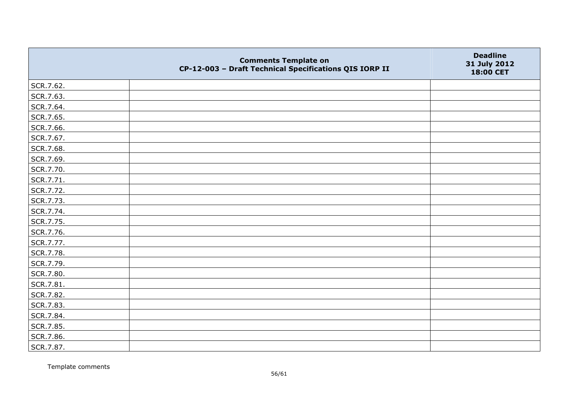|           | <b>Comments Template on</b><br>CP-12-003 - Draft Technical Specifications QIS IORP II | <b>Deadline</b><br>31 July 2012<br>18:00 CET |
|-----------|---------------------------------------------------------------------------------------|----------------------------------------------|
| SCR.7.62. |                                                                                       |                                              |
| SCR.7.63. |                                                                                       |                                              |
| SCR.7.64. |                                                                                       |                                              |
| SCR.7.65. |                                                                                       |                                              |
| SCR.7.66. |                                                                                       |                                              |
| SCR.7.67. |                                                                                       |                                              |
| SCR.7.68. |                                                                                       |                                              |
| SCR.7.69. |                                                                                       |                                              |
| SCR.7.70. |                                                                                       |                                              |
| SCR.7.71. |                                                                                       |                                              |
| SCR.7.72. |                                                                                       |                                              |
| SCR.7.73. |                                                                                       |                                              |
| SCR.7.74. |                                                                                       |                                              |
| SCR.7.75. |                                                                                       |                                              |
| SCR.7.76. |                                                                                       |                                              |
| SCR.7.77. |                                                                                       |                                              |
| SCR.7.78. |                                                                                       |                                              |
| SCR.7.79. |                                                                                       |                                              |
| SCR.7.80. |                                                                                       |                                              |
| SCR.7.81. |                                                                                       |                                              |
| SCR.7.82. |                                                                                       |                                              |
| SCR.7.83. |                                                                                       |                                              |
| SCR.7.84. |                                                                                       |                                              |
| SCR.7.85. |                                                                                       |                                              |
| SCR.7.86. |                                                                                       |                                              |
| SCR.7.87. |                                                                                       |                                              |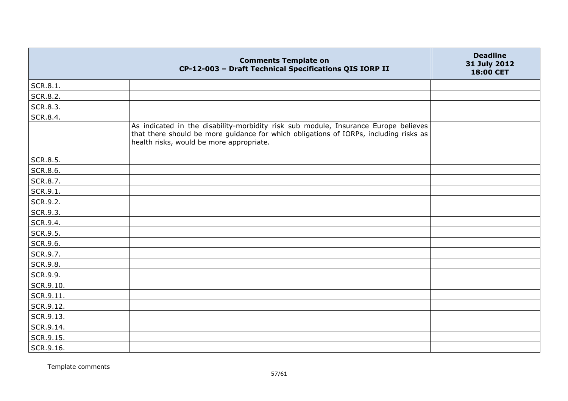|                 | <b>Comments Template on</b><br>CP-12-003 - Draft Technical Specifications QIS IORP II                                                                                                                                    | <b>Deadline</b><br>31 July 2012<br>18:00 CET |
|-----------------|--------------------------------------------------------------------------------------------------------------------------------------------------------------------------------------------------------------------------|----------------------------------------------|
| SCR.8.1.        |                                                                                                                                                                                                                          |                                              |
| SCR.8.2.        |                                                                                                                                                                                                                          |                                              |
| <b>SCR.8.3.</b> |                                                                                                                                                                                                                          |                                              |
| SCR.8.4.        |                                                                                                                                                                                                                          |                                              |
|                 | As indicated in the disability-morbidity risk sub module, Insurance Europe believes<br>that there should be more guidance for which obligations of IORPs, including risks as<br>health risks, would be more appropriate. |                                              |
| SCR.8.5.        |                                                                                                                                                                                                                          |                                              |
| SCR.8.6.        |                                                                                                                                                                                                                          |                                              |
| SCR.8.7.        |                                                                                                                                                                                                                          |                                              |
| SCR.9.1.        |                                                                                                                                                                                                                          |                                              |
| SCR.9.2.        |                                                                                                                                                                                                                          |                                              |
| SCR.9.3.        |                                                                                                                                                                                                                          |                                              |
| SCR.9.4.        |                                                                                                                                                                                                                          |                                              |
| SCR.9.5.        |                                                                                                                                                                                                                          |                                              |
| SCR.9.6.        |                                                                                                                                                                                                                          |                                              |
| SCR.9.7.        |                                                                                                                                                                                                                          |                                              |
| <b>SCR.9.8.</b> |                                                                                                                                                                                                                          |                                              |
| SCR.9.9.        |                                                                                                                                                                                                                          |                                              |
| SCR.9.10.       |                                                                                                                                                                                                                          |                                              |
| SCR.9.11.       |                                                                                                                                                                                                                          |                                              |
| SCR.9.12.       |                                                                                                                                                                                                                          |                                              |
| SCR.9.13.       |                                                                                                                                                                                                                          |                                              |
| SCR.9.14.       |                                                                                                                                                                                                                          |                                              |
| SCR.9.15.       |                                                                                                                                                                                                                          |                                              |
| SCR.9.16.       |                                                                                                                                                                                                                          |                                              |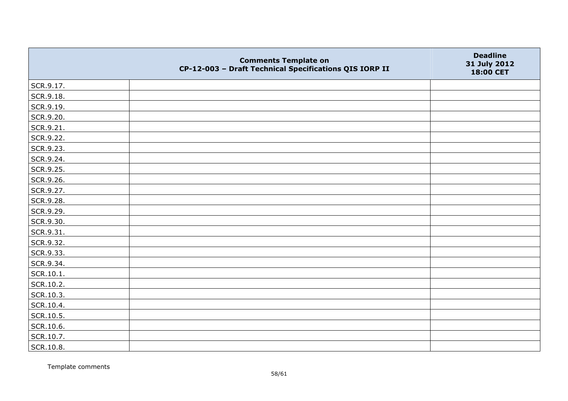|           | <b>Comments Template on</b><br>CP-12-003 - Draft Technical Specifications QIS IORP II | <b>Deadline</b><br>31 July 2012<br>18:00 CET |
|-----------|---------------------------------------------------------------------------------------|----------------------------------------------|
| SCR.9.17. |                                                                                       |                                              |
| SCR.9.18. |                                                                                       |                                              |
| SCR.9.19. |                                                                                       |                                              |
| SCR.9.20. |                                                                                       |                                              |
| SCR.9.21. |                                                                                       |                                              |
| SCR.9.22. |                                                                                       |                                              |
| SCR.9.23. |                                                                                       |                                              |
| SCR.9.24. |                                                                                       |                                              |
| SCR.9.25. |                                                                                       |                                              |
| SCR.9.26. |                                                                                       |                                              |
| SCR.9.27. |                                                                                       |                                              |
| SCR.9.28. |                                                                                       |                                              |
| SCR.9.29. |                                                                                       |                                              |
| SCR.9.30. |                                                                                       |                                              |
| SCR.9.31. |                                                                                       |                                              |
| SCR.9.32. |                                                                                       |                                              |
| SCR.9.33. |                                                                                       |                                              |
| SCR.9.34. |                                                                                       |                                              |
| SCR.10.1. |                                                                                       |                                              |
| SCR.10.2. |                                                                                       |                                              |
| SCR.10.3. |                                                                                       |                                              |
| SCR.10.4. |                                                                                       |                                              |
| SCR.10.5. |                                                                                       |                                              |
| SCR.10.6. |                                                                                       |                                              |
| SCR.10.7. |                                                                                       |                                              |
| SCR.10.8. |                                                                                       |                                              |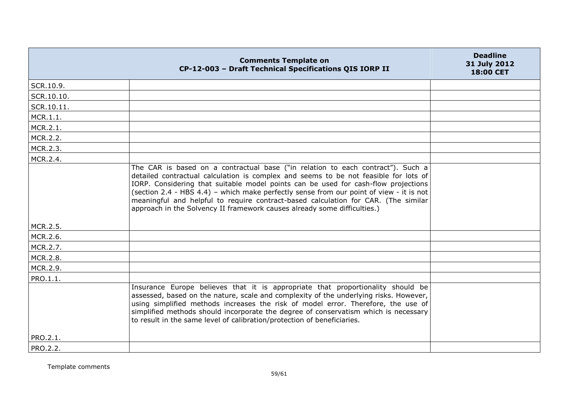|            | <b>Comments Template on</b><br>CP-12-003 - Draft Technical Specifications QIS IORP II                                                                                                                                                                                                                                                                                                                                                                                                                                      | <b>Deadline</b><br>31 July 2012<br>18:00 CET |
|------------|----------------------------------------------------------------------------------------------------------------------------------------------------------------------------------------------------------------------------------------------------------------------------------------------------------------------------------------------------------------------------------------------------------------------------------------------------------------------------------------------------------------------------|----------------------------------------------|
| SCR.10.9.  |                                                                                                                                                                                                                                                                                                                                                                                                                                                                                                                            |                                              |
| SCR.10.10. |                                                                                                                                                                                                                                                                                                                                                                                                                                                                                                                            |                                              |
| SCR.10.11. |                                                                                                                                                                                                                                                                                                                                                                                                                                                                                                                            |                                              |
| MCR.1.1.   |                                                                                                                                                                                                                                                                                                                                                                                                                                                                                                                            |                                              |
| MCR.2.1.   |                                                                                                                                                                                                                                                                                                                                                                                                                                                                                                                            |                                              |
| MCR.2.2.   |                                                                                                                                                                                                                                                                                                                                                                                                                                                                                                                            |                                              |
| MCR.2.3.   |                                                                                                                                                                                                                                                                                                                                                                                                                                                                                                                            |                                              |
| MCR.2.4.   |                                                                                                                                                                                                                                                                                                                                                                                                                                                                                                                            |                                              |
|            | The CAR is based on a contractual base ("in relation to each contract"). Such a<br>detailed contractual calculation is complex and seems to be not feasible for lots of<br>IORP. Considering that suitable model points can be used for cash-flow projections<br>(section 2.4 - HBS 4.4) - which make perfectly sense from our point of view - it is not<br>meaningful and helpful to require contract-based calculation for CAR. (The similar<br>approach in the Solvency II framework causes already some difficulties.) |                                              |
| MCR.2.5.   |                                                                                                                                                                                                                                                                                                                                                                                                                                                                                                                            |                                              |
| MCR.2.6.   |                                                                                                                                                                                                                                                                                                                                                                                                                                                                                                                            |                                              |
| MCR.2.7.   |                                                                                                                                                                                                                                                                                                                                                                                                                                                                                                                            |                                              |
| MCR.2.8.   |                                                                                                                                                                                                                                                                                                                                                                                                                                                                                                                            |                                              |
| MCR.2.9.   |                                                                                                                                                                                                                                                                                                                                                                                                                                                                                                                            |                                              |
| PRO.1.1.   |                                                                                                                                                                                                                                                                                                                                                                                                                                                                                                                            |                                              |
|            | Insurance Europe believes that it is appropriate that proportionality should be<br>assessed, based on the nature, scale and complexity of the underlying risks. However,<br>using simplified methods increases the risk of model error. Therefore, the use of<br>simplified methods should incorporate the degree of conservatism which is necessary<br>to result in the same level of calibration/protection of beneficiaries.                                                                                            |                                              |
| PRO.2.1.   |                                                                                                                                                                                                                                                                                                                                                                                                                                                                                                                            |                                              |
| PRO.2.2.   |                                                                                                                                                                                                                                                                                                                                                                                                                                                                                                                            |                                              |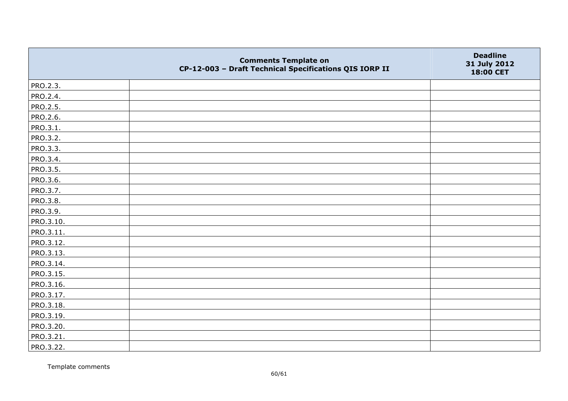|           | <b>Comments Template on</b><br>CP-12-003 - Draft Technical Specifications QIS IORP II | <b>Deadline</b><br>31 July 2012<br>18:00 CET |
|-----------|---------------------------------------------------------------------------------------|----------------------------------------------|
| PRO.2.3.  |                                                                                       |                                              |
| PRO.2.4.  |                                                                                       |                                              |
| PRO.2.5.  |                                                                                       |                                              |
| PRO.2.6.  |                                                                                       |                                              |
| PRO.3.1.  |                                                                                       |                                              |
| PRO.3.2.  |                                                                                       |                                              |
| PRO.3.3.  |                                                                                       |                                              |
| PRO.3.4.  |                                                                                       |                                              |
| PRO.3.5.  |                                                                                       |                                              |
| PRO.3.6.  |                                                                                       |                                              |
| PRO.3.7.  |                                                                                       |                                              |
| PRO.3.8.  |                                                                                       |                                              |
| PRO.3.9.  |                                                                                       |                                              |
| PRO.3.10. |                                                                                       |                                              |
| PRO.3.11. |                                                                                       |                                              |
| PRO.3.12. |                                                                                       |                                              |
| PRO.3.13. |                                                                                       |                                              |
| PRO.3.14. |                                                                                       |                                              |
| PRO.3.15. |                                                                                       |                                              |
| PRO.3.16. |                                                                                       |                                              |
| PRO.3.17. |                                                                                       |                                              |
| PRO.3.18. |                                                                                       |                                              |
| PRO.3.19. |                                                                                       |                                              |
| PRO.3.20. |                                                                                       |                                              |
| PRO.3.21. |                                                                                       |                                              |
| PRO.3.22. |                                                                                       |                                              |